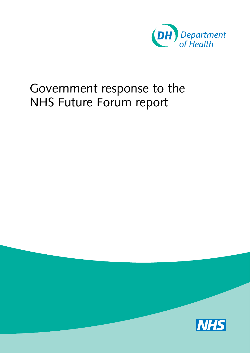

## Government response to the NHS Future Forum report

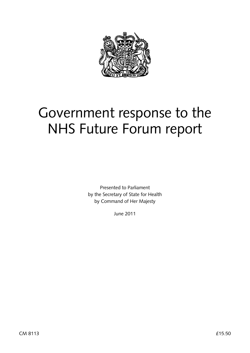

# Government response to the NHS Future Forum report

Presented to Parliament by the Secretary of State for Health by Command of Her Majesty

June 2011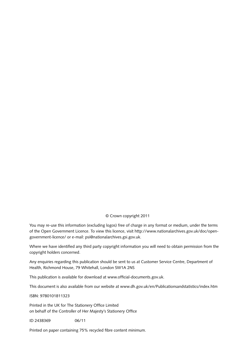#### © Crown copyright 2011

You may re-use this information (excluding logos) free of charge in any format or medium, under the terms [of the Open Government Licence. To view this licence, visit http://www.nationalarchives.gov.uk/doc/open](http://www.nationalarchives.gov.uk/doc/open-government-licence/)government-licence/ or e-mail: [psi@nationalarchives.gsi.gov.uk.](mailto:psi@nationalarchives.gsi.gov.uk) 

Where we have identified any third party copyright information you will need to obtain permission from the copyright holders concerned.

Any enquiries regarding this publication should be sent to us at Customer Service Centre, Department of Health, Richmond House, 79 Whitehall, London SW1A 2NS

This publication is available for download at [www.official-documents.gov.uk.](http://www.official-documents.gov.uk) 

This document is also available from our website at [www.dh.gov.uk/en/Publicationsandstatistics/index.htm](http://www.dh.gov.uk/en/Publicationsandstatistics/index.htm) 

ISBN: 9780101811323

Printed in the UK for The Stationery Office Limited on behalf of the Controller of Her Majesty's Stationery Office

ID 2438369 06/11

Printed on paper containing 75% recycled fibre content minimum.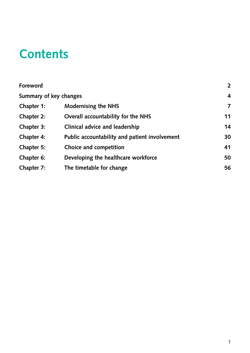# **Contents**

| Foreword               |                                               | $2^{\circ}$ |
|------------------------|-----------------------------------------------|-------------|
| Summary of key changes |                                               | 4           |
| Chapter 1:             | <b>Modernising the NHS</b>                    | 7           |
| Chapter 2:             | Overall accountability for the NHS            | 11          |
| Chapter 3:             | Clinical advice and leadership                | 14          |
| Chapter 4:             | Public accountability and patient involvement | 30          |
| Chapter 5:             | Choice and competition                        | 41          |
| Chapter 6:             | Developing the healthcare workforce           | 50          |
| Chapter 7:             | The timetable for change                      | 56          |
|                        |                                               |             |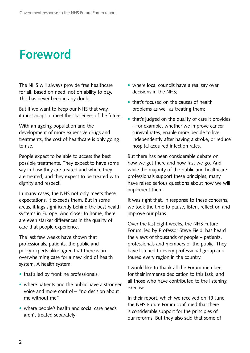# **Foreword**

The NHS will always provide free healthcare for all, based on need, not on ability to pay. This has never been in any doubt.

But if we want to keep our NHS that way, it must adapt to meet the challenges of the future.

With an ageing population and the development of more expensive drugs and treatments, the cost of healthcare is only going to rise.

People expect to be able to access the best possible treatments. They expect to have some say in how they are treated and where they are treated, and they expect to be treated with dignity and respect.

In many cases, the NHS not only meets these expectations, it exceeds them. But in some areas, it lags significantly behind the best health systems in Europe. And closer to home, there are even starker differences in the quality of care that people experience.

The last few weeks have shown that professionals, patients, the public and policy experts alike agree that there is an overwhelming case for a new kind of health system. A health system:

- that's led by frontline professionals;
- where patients and the public have a stronger voice and more control – "no decision about me without me";
- where people's health and social care needs aren't treated separately;
- where local councils have a real say over decisions in the NHS;
- that's focused on the causes of health problems as well as treating them;
- that's judged on the quality of care it provides – for example, whether we improve cancer survival rates, enable more people to live independently after having a stroke, or reduce hospital acquired infection rates.

But there has been considerable debate on how we get there and how fast we go. And while the majority of the public and healthcare professionals support these principles, many have raised serious questions about how we will implement them.

It was right that, in response to these concerns, we took the time to pause, listen, reflect on and improve our plans.

Over the last eight weeks, the NHS Future Forum, led by Professor Steve Field, has heard the views of thousands of people – patients, professionals and members of the public. They have listened to every professional group and toured every region in the country.

I would like to thank all the Forum members for their immense dedication to this task, and all those who have contributed to the listening exercise.

In their report, which we received on 13 June, the NHS Future Forum confirmed that there is considerable support for the principles of our reforms. But they also said that some of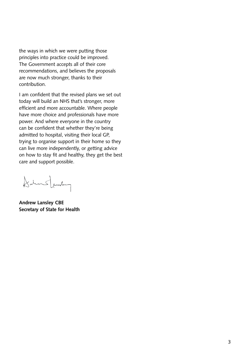the ways in which we were putting those principles into practice could be improved. The Government accepts all of their core recommendations, and believes the proposals are now much stronger, thanks to their contribution.

I am confident that the revised plans we set out today will build an NHS that's stronger, more efficient and more accountable. Where people have more choice and professionals have more power. And where everyone in the country can be confident that whether they're being admitted to hospital, visiting their local GP, trying to organise support in their home so they can live more independently, or getting advice on how to stay fit and healthy, they get the best care and support possible.

Dalms Jambery

**Andrew Lansley CBE Secretary of State for Health**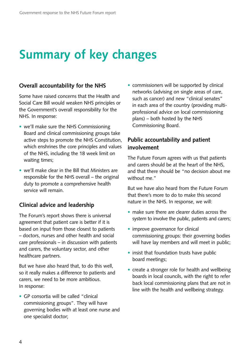# **Summary of key changes**

#### **Overall accountability for the NHS**

Some have raised concerns that the Health and Social Care Bill would weaken NHS principles or the Government's overall responsibility for the NHS. In response:

- we'll make sure the NHS Commissioning Board and clinical commissioning groups take active steps to promote the NHS Constitution, which enshrines the core principles and values of the NHS, including the 18 week limit on waiting times;
- we'll make clear in the Bill that Ministers are responsible for the NHS overall – the original duty to promote a comprehensive health service will remain.

### **Clinical advice and leadership**

The Forum's report shows there is universal agreement that patient care is better if it is based on input from those closest to patients – doctors, nurses and other health and social care professionals – in discussion with patients and carers, the voluntary sector, and other healthcare partners.

But we have also heard that, to do this well, so it really makes a difference to patients and carers, we need to be more ambitious. In response:

• GP consortia will be called "clinical commissioning groups". They will have governing bodies with at least one nurse and one specialist doctor;

• commissioners will be supported by clinical networks (advising on single areas of care, such as cancer) and new "clinical senates" in each area of the country (providing multiprofessional advice on local commissioning plans) – both hosted by the NHS Commissioning Board.

## **Public accountability and patient involvement**

The Future Forum agrees with us that patients and carers should be at the heart of the NHS, and that there should be "no decision about me without me."

But we have also heard from the Future Forum that there's more to do to make this second nature in the NHS. In response, we will:

- make sure there are clearer duties across the system to involve the public, patients and carers;
- improve governance for clinical commissioning groups: their governing bodies will have lay members and will meet in public;
- insist that foundation trusts have public board meetings;
- create a stronger role for health and wellbeing boards in local councils, with the right to refer back local commissioning plans that are not in line with the health and wellbeing strategy.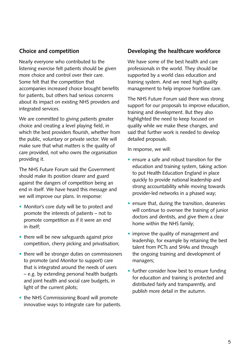### **Choice and competition**

Nearly everyone who contributed to the listening exercise felt patients should be given more choice and control over their care. Some felt that the competition that accompanies increased choice brought benefits for patients, but others had serious concerns about its impact on existing NHS providers and integrated services.

We are committed to giving patients greater choice and creating a level playing field, in which the best providers flourish, whether from the public, voluntary or private sector. We will make sure that what matters is the quality of care provided, not who owns the organisation providing it.

The NHS Future Forum said the Government should make its position clearer and guard against the dangers of competition being an end in itself. We have heard this message and we will improve our plans. In response:

- Monitor's core duty will be to protect and promote the interests of patients – not to promote competition as if it were an end in itself;
- there will be new safeguards against price competition, cherry picking and privatisation;
- there will be stronger duties on commissioners to promote (and Monitor to support) care that is integrated around the needs of users – e.g. by extending personal health budgets and joint health and social care budgets, in light of the current pilots;
- the NHS Commissioning Board will promote innovative ways to integrate care for patients.

#### **Developing the healthcare workforce**

We have some of the best health and care professionals in the world. They should be supported by a world class education and training system. And we need high quality management to help improve frontline care.

The NHS Future Forum said there was strong support for our proposals to improve education, training and development. But they also highlighted the need to keep focused on quality while we make these changes, and said that further work is needed to develop detailed proposals.

In response, we will:

- ensure a safe and robust transition for the education and training system, taking action to put Health Education England in place quickly to provide national leadership and strong accountability while moving towards provider-led networks in a phased way;
- ensure that, during the transition, deaneries will continue to oversee the training of junior doctors and dentists, and give them a clear home within the NHS family;
- improve the quality of management and leadership, for example by retaining the best talent from PCTs and SHAs and through the ongoing training and development of managers;
- further consider how best to ensure funding for education and training is protected and distributed fairly and transparently, and publish more detail in the autumn.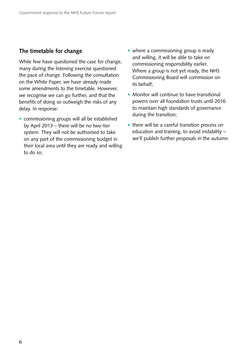#### **The timetable for change**

While few have questioned the case for change, many during the listening exercise questioned the pace of change. Following the consultation on the White Paper, we have already made some amendments to the timetable. However, we recognise we can go further, and that the benefits of doing so outweigh the risks of any delay. In response:

- commissioning groups will all be established by April 2013 – there will be no two-tier system. They will not be authorised to take on any part of the commissioning budget in their local area until they are ready and willing to do so;
- where a commissioning group is ready and willing, it will be able to take on commissioning responsibility earlier. Where a group is not yet ready, the NHS Commissioning Board will commission on its behalf;
- Monitor will continue to have transitional powers over all foundation trusts until 2016 to maintain high standards of governance during the transition;
- there will be a careful transition process on education and training, to avoid instability – we'll publish further proposals in the autumn.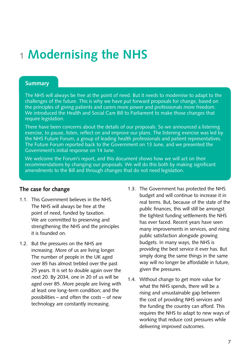## 1 **Modernising the NHS**

#### **Summary**

The NHS will always be free at the point of need. But it needs to modernise to adapt to the challenges of the future. This is why we have put forward proposals for change, based on the principles of giving patients and carers more power and professionals more freedom. We introduced the Health and Social Care Bill to Parliament to make those changes that require legislation.

There have been concerns about the details of our proposals. So we announced a listening exercise, to pause, listen, reflect on and improve our plans. The listening exercise was led by the NHS Future Forum, a group of leading health professionals and patient representatives. The Future Forum reported back to the Government on 13 June, and we presented the Government's initial response on 14 June.

We welcome the Forum's report, and this document shows how we will act on their recommendations by changing our proposals. We will do this both by making significant amendments to the Bill and through changes that do not need legislation.

### **The case for change**

- 1.1. This Government believes in the NHS. The NHS will always be free at the point of need, funded by taxation. We are committed to preserving and strengthening the NHS and the principles it is founded on.
- 1.2. But the pressures on the NHS are increasing. More of us are living longer. The number of people in the UK aged over 85 has almost trebled over the past 25 years. It is set to double again over the next 20. By 2034, one in 20 of us will be aged over 85. More people are living with at least one long-term condition; and the possibilities – and often the costs – of new technology are constantly increasing.
- 1.3. The Government has protected the NHS budget and will continue to increase it in real terms. But, because of the state of the public finances, this will still be amongst the tightest funding settlements the NHS has ever faced. Recent years have seen many improvements in services, and rising public satisfaction alongside growing budgets. In many ways, the NHS is providing the best service it ever has. But simply doing the same things in the same way will no longer be affordable in future, given the pressures.
- 1.4. Without change to get more value for what the NHS spends, there will be a rising and unsustainable gap between the cost of providing NHS services and the funding the country can afford. This requires the NHS to adapt to new ways of working that reduce cost pressures while delivering improved outcomes.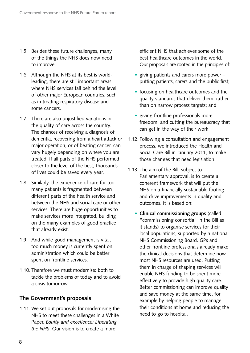- 1.5. Besides these future challenges, many of the things the NHS does now need to improve.
- 1.6. Although the NHS at its best is worldleading, there are still important areas where NHS services fall behind the level of other major European countries, such as in treating respiratory disease and some cancers.
- 1.7. There are also unjustified variations in the quality of care across the country. The chances of receiving a diagnosis of dementia, recovering from a heart attack or major operation, or of beating cancer, can vary hugely depending on where you are treated. If all parts of the NHS performed closer to the level of the best, thousands of lives could be saved every year.
- 1.8. Similarly, the experience of care for too many patients is fragmented between different parts of the health service and between the NHS and social care or other services. There are huge opportunities to make services more integrated, building on the many examples of good practice that already exist.
- 1.9. And while good management is vital, too much money is currently spent on administration which could be better spent on frontline services.
- 1.10. Therefore we must modernise: both to tackle the problems of today and to avoid a crisis tomorrow.

#### **The Government's proposals**

1.11. We set out proposals for modernising the NHS to meet these challenges in a White Paper, *Equity and excellence: Liberating the NHS*. Our vision is to create a more

efficient NHS that achieves some of the best healthcare outcomes in the world. Our proposals are rooted in the principles of:

- giving patients and carers more power putting patients, carers and the public first;
- focusing on healthcare outcomes and the quality standards that deliver them, rather than on narrow process targets; and
- giving frontline professionals more freedom, and cutting the bureaucracy that can get in the way of their work.
- 1.12. Following a consultation and engagement process, we introduced the Health and Social Care Bill in January 2011, to make those changes that need legislation.
- 1.13. The aim of the Bill, subject to Parliamentary approval, is to create a coherent framework that will put the NHS on a financially sustainable footing and drive improvements in quality and outcomes. It is based on:
	- • **Clinical commissioning groups** (called "commissioning consortia" in the Bill as it stands) to organise services for their local populations, supported by a national NHS Commissioning Board. GPs and other frontline professionals already make the clinical decisions that determine how most NHS resources are used. Putting them in charge of shaping services will enable NHS funding to be spent more effectively to provide high quality care. Better commissioning can improve quality and save money at the same time, for example by helping people to manage their conditions at home and reducing the need to go to hospital.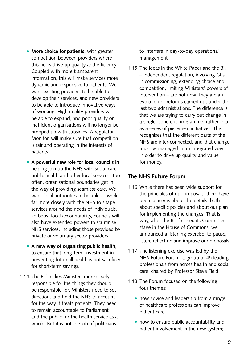- • **More choice for patients**, with greater competition between providers where this helps drive up quality and efficiency. Coupled with more transparent information, this will make services more dynamic and responsive to patients. We want existing providers to be able to develop their services, and new providers to be able to introduce innovative ways of working. High quality providers will be able to expand, and poor quality or inefficient organisations will no longer be propped up with subsidies. A regulator, Monitor, will make sure that competition is fair and operating in the interests of patients.
- • **A powerful new role for local councils** in helping join up the NHS with social care, public health and other local services. Too often, organisational boundaries get in the way of providing seamless care. We want local authorities to be able to work far more closely with the NHS to shape services around the needs of individuals. To boost local accountability, councils will also have extended powers to scrutinise NHS services, including those provided by private or voluntary sector providers.
- • **A new way of organising public health**, to ensure that long-term investment in preventing future ill health is not sacrificed for short-term savings.
- 1.14. The Bill makes Ministers more clearly responsible for the things they should be responsible for. Ministers need to set direction, and hold the NHS to account for the way it treats patients. They need to remain accountable to Parliament and the public for the health service as a whole. But it is not the job of politicians

to interfere in day-to-day operational management.

1.15. The ideas in the White Paper and the Bill – independent regulation, involving GPs in commissioning, extending choice and competition, limiting Ministers' powers of intervention – are not new; they are an evolution of reforms carried out under the last two administrations. The difference is that we are trying to carry out change in a single, coherent programme, rather than as a series of piecemeal initiatives. This recognises that the different parts of the NHS are inter-connected, and that change must be managed in an integrated way in order to drive up quality and value for money.

#### **The NHS Future Forum**

- 1.16. While there has been wide support for the principles of our proposals, there have been concerns about the details: both about specific policies and about our plan for implementing the changes. That is why, after the Bill finished its Committee stage in the House of Commons, we announced a listening exercise: to pause, listen, reflect on and improve our proposals.
- 1.17. The listening exercise was led by the NHS Future Forum, a group of 45 leading professionals from across health and social care, chaired by Professor Steve Field.
- 1.18. The Forum focused on the following four themes:
	- how advice and leadership from a range of healthcare professions can improve patient care;
	- how to ensure public accountability and patient involvement in the new system;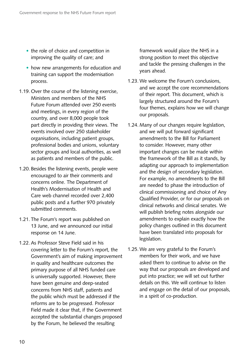- the role of choice and competition in improving the quality of care; and
- how new arrangements for education and training can support the modernisation process.
- 1.19. Over the course of the listening exercise, Ministers and members of the NHS Future Forum attended over 250 events and meetings, in every region of the country, and over 8,000 people took part directly in providing their views. The events involved over 250 stakeholder organisations, including patient groups, professional bodies and unions, voluntary sector groups and local authorities, as well as patients and members of the public.
- 1.20. Besides the listening events, people were encouraged to air their comments and concerns online. The Department of Health's Modernisation of Health and Care web channel recorded over 2,400 public posts and a further 970 privately submitted comments.
- 1.21. The Forum's report was published on 13 June, and we announced our initial response on 14 June.
- 1.22. As Professor Steve Field said in his covering letter to the Forum's report, the Government's aim of making improvement in quality and healthcare outcomes the primary purpose of all NHS funded care is universally supported. However, there have been genuine and deep-seated concerns from NHS staff, patients and the public which must be addressed if the reforms are to be progressed. Professor Field made it clear that, if the Government accepted the substantial changes proposed by the Forum, he believed the resulting

framework would place the NHS in a strong position to meet this objective and tackle the pressing challenges in the years ahead.

- 1.23. We welcome the Forum's conclusions, and we accept the core recommendations of their report. This document, which is largely structured around the Forum's four themes, explains how we will change our proposals.
- 1.24. Many of our changes require legislation, and we will put forward significant amendments to the Bill for Parliament to consider. However, many other important changes can be made within the framework of the Bill as it stands, by adapting our approach to implementation and the design of secondary legislation. For example, no amendments to the Bill are needed to phase the introduction of clinical commissioning and choice of Any Qualified Provider, or for our proposals on clinical networks and clinical senates. We will publish briefing notes alongside our amendments to explain exactly how the policy changes outlined in this document have been translated into proposals for legislation.
- 1.25. We are very grateful to the Forum's members for their work, and we have asked them to continue to advise on the way that our proposals are developed and put into practice; we will set out further details on this. We will continue to listen and engage on the detail of our proposals, in a spirit of co-production.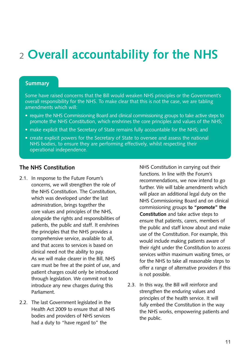# 2 **Overall accountability for the NHS**

#### **Summary**

Some have raised concerns that the Bill would weaken NHS principles or the Government's overall responsibility for the NHS. To make clear that this is not the case, we are tabling amendments which will:

- require the NHS Commissioning Board and clinical commissioning groups to take active steps to promote the NHS Constitution, which enshrines the core principles and values of the NHS;
- make explicit that the Secretary of State remains fully accountable for the NHS; and
- create explicit powers for the Secretary of State to oversee and assess the national NHS bodies, to ensure they are performing effectively, whilst respecting their operational independence.

#### **The NHS Constitution**

- 2.1. In response to the Future Forum's concerns, we will strengthen the role of the NHS Constitution. The Constitution, which was developed under the last administration, brings together the core values and principles of the NHS, alongside the rights and responsibilities of patients, the public and staff. It enshrines the principles that the NHS provides a comprehensive service, available to all, and that access to services is based on clinical need not the ability to pay. As we will make clearer in the Bill, NHS care must be free at the point of use, and patient charges could only be introduced through legislation. We commit not to introduce any new charges during this Parliament.
- 2.2. The last Government legislated in the Health Act 2009 to ensure that all NHS bodies and providers of NHS services had a duty to "have regard to" the

NHS Constitution in carrying out their functions. In line with the Forum's recommendations, we now intend to go further. We will table amendments which will place an additional legal duty on the NHS Commissioning Board and on clinical commissioning groups **to "promote" the Constitution** and take active steps to ensure that patients, carers, members of the public and staff know about and make use of the Constitution. For example, this would include making patients aware of their right under the Constitution to access services within maximum waiting times, or for the NHS to take all reasonable steps to offer a range of alternative providers if this is not possible.

2.3. In this way, the Bill will reinforce and strengthen the enduring values and principles of the health service. It will fully embed the Constitution in the way the NHS works, empowering patients and the public.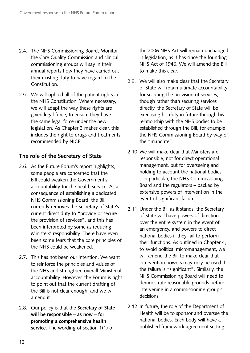- 2.4. The NHS Commissioning Board, Monitor, the Care Quality Commission and clinical commissioning groups will say in their annual reports how they have carried out their existing duty to have regard to the Constitution.
- 2.5. We will uphold all of the patient rights in the NHS Constitution. Where necessary, we will adapt the way these rights are given legal force, to ensure they have the same legal force under the new legislation. As Chapter 3 makes clear, this includes the right to drugs and treatments recommended by NICE.

### **The role of the Secretary of State**

- 2.6. As the Future Forum's report highlights, some people are concerned that the Bill could weaken the Government's accountability for the health service. As a consequence of establishing a dedicated NHS Commissioning Board, the Bill currently removes the Secretary of State's current direct duty to "provide or secure the provision of services", and this has been interpreted by some as reducing Ministers' responsibility. There have even been some fears that the core principles of the NHS could be weakened.
- 2.7. This has not been our intention. We want to reinforce the principles and values of the NHS and strengthen overall Ministerial accountability. However, the Forum is right to point out that the current drafting of the Bill is not clear enough, and we will amend it.
- 2.8. Our policy is that the **Secretary of State will be responsible – as now – for promoting a comprehensive health service**. The wording of section 1(1) of

the 2006 NHS Act will remain unchanged in legislation, as it has since the founding NHS Act of 1946. We will amend the Bill to make this clear.

- 2.9. We will also make clear that the Secretary of State will retain ultimate accountability for securing the provision of services, though rather than securing services directly, the Secretary of State will be exercising his duty in future through his relationship with the NHS bodies to be established through the Bill, for example the NHS Commissioning Board by way of the "mandate".
- 2.10. We will make clear that Ministers are responsible, not for direct operational management, but for overseeing and holding to account the national bodies – in particular, the NHS Commissioning Board and the regulators – backed by extensive powers of intervention in the event of significant failure.
- 2.11. Under the Bill as it stands, the Secretary of State will have powers of direction over the entire system in the event of an emergency, and powers to direct national bodies if they fail to perform their functions. As outlined in Chapter 4, to avoid political micromanagement, we will amend the Bill to make clear that intervention powers may only be used if the failure is "significant". Similarly, the NHS Commissioning Board will need to demonstrate reasonable grounds before intervening in a commissioning group's decisions.
- 2.12. In future, the role of the Department of Health will be to sponsor and oversee the national bodies. Each body will have a published framework agreement setting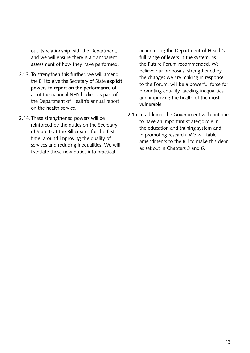out its relationship with the Department, and we will ensure there is a transparent assessment of how they have performed.

- 2.13. To strengthen this further, we will amend the Bill to give the Secretary of State **explicit powers to report on the performance** of all of the national NHS bodies, as part of the Department of Health's annual report on the health service.
- 2.14. These strengthened powers will be reinforced by the duties on the Secretary of State that the Bill creates for the first time, around improving the quality of services and reducing inequalities. We will translate these new duties into practical

action using the Department of Health's full range of levers in the system, as the Future Forum recommended. We believe our proposals, strengthened by the changes we are making in response to the Forum, will be a powerful force for promoting equality, tackling inequalities and improving the health of the most vulnerable.

2.15. In addition, the Government will continue to have an important strategic role in the education and training system and in promoting research. We will table amendments to the Bill to make this clear, as set out in Chapters 3 and 6.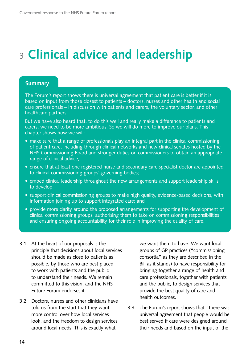# <sup>3</sup>**Clinical advice and leadership**

#### **Summary**

The Forum's report shows there is universal agreement that patient care is better if it is based on input from those closest to patients – doctors, nurses and other health and social care professionals – in discussion with patients and carers, the voluntary sector, and other healthcare partners.

But we have also heard that, to do this well and really make a difference to patients and carers, we need to be more ambitious. So we will do more to improve our plans. This chapter shows how we will:

- make sure that a range of professionals play an integral part in the clinical commissioning of patient care, including through clinical networks and new clinical senates hosted by the NHS Commissioning Board and stronger duties on commissioners to obtain an appropriate range of clinical advice;
- ensure that at least one registered nurse and secondary care specialist doctor are appointed to clinical commissioning groups' governing bodies;
- embed clinical leadership throughout the new arrangements and support leadership skills to develop;
- support clinical commissioning groups to make high quality, evidence-based decisions, with information joining up to support integrated care; and
- provide more clarity around the proposed arrangements for supporting the development of clinical commissioning groups, authorising them to take on commissioning responsibilities and ensuring ongoing accountability for their role in improving the quality of care.
- 3.1. At the heart of our proposals is the principle that decisions about local services should be made as close to patients as possible, by those who are best placed to work with patients and the public to understand their needs. We remain committed to this vision, and the NHS Future Forum endorses it.
- 3.2. Doctors, nurses and other clinicians have told us from the start that they want more control over how local services look, and the freedom to design services around local needs. This is exactly what

we want them to have. We want local groups of GP practices ("commissioning consortia" as they are described in the Bill as it stands) to have responsibility for bringing together a range of health and care professionals, together with patients and the public, to design services that provide the best quality of care and health outcomes.

3.3. The Forum's report shows that "there was universal agreement that people would be best served if care were designed around their needs and based on the input of the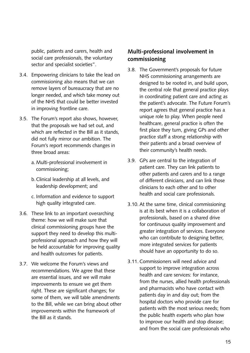public, patients and carers, health and social care professionals, the voluntary sector and specialist societies".

- 3.4. Empowering clinicians to take the lead on commissioning also means that we can remove layers of bureaucracy that are no longer needed, and which take money out of the NHS that could be better invested in improving frontline care.
- 3.5. The Forum's report also shows, however, that the proposals we had set out, and which are reflected in the Bill as it stands, did not fully mirror our ambition. The Forum's report recommends changes in three broad areas:
	- a. Multi-professional involvement in commissioning;
	- b.Clinical leadership at all levels, and leadership development; and
	- c. Information and evidence to support high quality integrated care.
- 3.6. These link to an important overarching theme: how we will make sure that clinical commissioning groups have the support they need to develop this multiprofessional approach and how they will be held accountable for improving quality and health outcomes for patients.
- 3.7. We welcome the Forum's views and recommendations. We agree that these are essential issues, and we will make improvements to ensure we get them right. These are significant changes; for some of them, we will table amendments to the Bill, while we can bring about other improvements within the framework of the Bill as it stands.

## **Multi-professional involvement in commissioning**

- 3.8. The Government's proposals for future NHS commissioning arrangements are designed to be rooted in, and build upon, the central role that general practice plays in coordinating patient care and acting as the patient's advocate. The Future Forum's report agrees that general practice has a unique role to play. When people need healthcare, general practice is often the first place they turn, giving GPs and other practice staff a strong relationship with their patients and a broad overview of their community's health needs.
- 3.9. GPs are central to the integration of patient care. They can link patients to other patients and carers and to a range of different clinicians, and can link those clinicians to each other and to other health and social care professionals.
- 3.10. At the same time, clinical commissioning is at its best when it is a collaboration of professionals, based on a shared drive for continuous quality improvement and greater integration of services. Everyone who can contribute to designing better, more integrated services for patients should have an opportunity to do so.
- 3.11. Commissioners will need advice and support to improve integration across health and care services: for instance, from the nurses, allied health professionals and pharmacists who have contact with patients day in and day out; from the hospital doctors who provide care for patients with the most serious needs; from the public health experts who plan how to improve our health and stop disease; and from the social care professionals who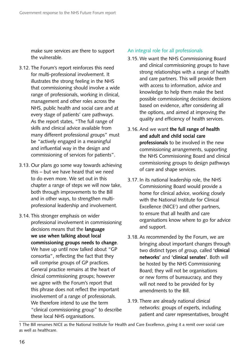make sure services are there to support the vulnerable.

- 3.12. The Forum's report reinforces this need for multi-professional involvement. It illustrates the strong feeling in the NHS that commissioning should involve a wide range of professionals, working in clinical, management and other roles across the NHS, public health and social care and at every stage of patients' care pathways. As the report states, "The full range of skills and clinical advice available from many different professional groups" must be "actively engaged in a meaningful and influential way in the design and commissioning of services for patients".
- 3.13. Our plans go some way towards achieving this – but we have heard that we need to do even more. We set out in this chapter a range of steps we will now take, both through improvements to the Bill and in other ways, to strengthen multiprofessional leadership and involvement.
- 3.14. This stronger emphasis on wider professional involvement in commissioning decisions means that the **language we use when talking about local commissioning groups needs to change**. We have up until now talked about "GP consortia", reflecting the fact that they will comprise groups of GP practices. General practice remains at the heart of clinical commissioning groups; however we agree with the Forum's report that this phrase does not reflect the important involvement of a range of professionals. We therefore intend to use the term "clinical commissioning group" to describe these local NHS organisations.

#### An integral role for all professionals

- 3.15. We want the NHS Commissioning Board and clinical commissioning groups to have strong relationships with a range of health and care partners. This will provide them with access to information, advice and knowledge to help them make the best possible commissioning decisions: decisions based on evidence, after considering all the options, and aimed at improving the quality and efficiency of health services.
- 3.16. And we want **the full range of health and adult and child social care professionals** to be involved in the new commissioning arrangements, supporting the NHS Commissioning Board and clinical commissioning groups to design pathways of care and shape services.
- 3.17. In its national leadership role, the NHS Commissioning Board would provide a home for clinical advice, working closely with the National Institute for Clinical Excellence (NICE<sup>1</sup>) and other partners, to ensure that all health and care organisations know where to go for advice and support.
- 3.18. As recommended by the Forum, we are bringing about important changes through two distinct types of group, called **'clinical networks'** and **'clinical senates'**. Both will be hosted by the NHS Commissioning Board; they will not be organisations or new forms of bureaucracy, and they will not need to be provided for by amendments to the Bill.
- 3.19. There are already national clinical networks: groups of experts, including patient and carer representatives, brought

<sup>1</sup> The Bill renames NICE as the National Institute for Health and Care Excellence, giving it a remit over social care as well as healthcare.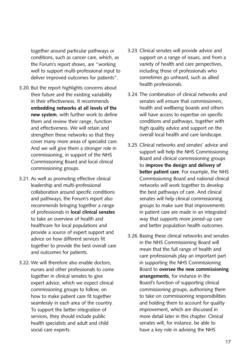together around particular pathways or conditions, such as cancer care, which, as the Forum's report shows, are "working well to support multi-professional input to deliver improved outcomes for patients".

- 3.20. But the report highlights concerns about their future and the existing variability in their effectiveness. It recommends **embedding networks at all levels of the new system**, with further work to define them and review their range, function and effectiveness. We will retain and strengthen these networks so that they cover many more areas of specialist care. And we will give them a stronger role in commissioning, in support of the NHS Commissioning Board and local clinical commissioning groups.
- 3.21. As well as promoting effective clinical leadership and multi-professional collaboration around specific conditions and pathways, the Forum's report also recommends bringing together a range of professionals in **local clinical senates**  to take an overview of health and healthcare for local populations and provide a source of expert support and advice on how different services fit together to provide the best overall care and outcomes for patients.
- 3.22. We will therefore also enable doctors, nurses and other professionals to come together in clinical senates to give expert advice, which we expect clinical commissioning groups to follow, on how to make patient care fit together seamlessly in each area of the country. To support the better integration of services, they should include public health specialists and adult and child social care experts.
- 3.23. Clinical senates will provide advice and support on a range of issues, and from a variety of health and care perspectives, including those of professionals who sometimes go unheard, such as allied health professionals.
- 3.24. The combination of clinical networks and senates will ensure that commissioners, health and wellbeing boards and others will have access to expertise on specific conditions and pathways, together with high quality advice and support on the overall local health and care landscape.
- 3.25. Clinical networks and senates' advice and support will help the NHS Commissioning Board and clinical commissioning groups to **improve the design and delivery of better patient care**. For example, the NHS Commissioning Board and national clinical networks will work together to develop the best pathways of care. And clinical senates will help clinical commissioning groups to make sure that improvements in patient care are made in an integrated way that supports more joined-up care and better population health outcomes.
- 3.26. Basing these clinical networks and senates in the NHS Commissioning Board will mean that the full range of health and care professionals play an important part in supporting the NHS Commissioning Board to **oversee the new commissioning arrangements**, for instance in the Board's function of supporting clinical commissioning groups, authorising them to take on commissioning responsibilities and holding them to account for quality improvement, which are discussed in more detail later in this chapter. Clinical senates will, for instance, be able to have a key role in advising the NHS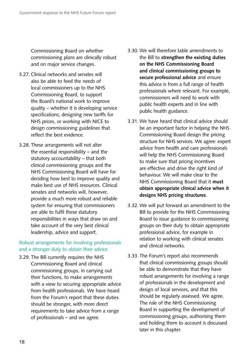Commissioning Board on whether commissioning plans are clinically robust and on major service changes.

- 3.27. Clinical networks and senates will also be able to feed the needs of local commissioners up to the NHS Commissioning Board, to support the Board's national work to improve quality – whether it is developing service specifications, designing new tariffs for NHS prices, or working with NICE to design commissioning guidelines that reflect the best evidence.
- 3.28. These arrangements will not alter the essential responsibility – and the statutory accountability – that both clinical commissioning groups and the NHS Commissioning Board will have for deciding how best to improve quality and make best use of NHS resources. Clinical senates and networks will, however, provide a much more robust and reliable system for ensuring that commissioners are able to fulfil these statutory responsibilities in ways that draw on and take account of the very best clinical leadership, advice and support.

#### Robust arrangements for involving professionals and a stronger duty to obtain their advice

3.29. The Bill currently requires the NHS Commissioning Board and clinical commissioning groups, in carrying out their functions, to make arrangements with a view to securing appropriate advice from health professionals. We have heard from the Forum's report that these duties should be stronger, with more direct requirements to take advice from a range of professionals – and we agree.

- 3.30. We will therefore table amendments to the Bill to **strengthen the existing duties on the NHS Commissioning Board and clinical commissioning groups to secure professional advice** and ensure this advice is from a full range of health professionals where relevant. For example, commissioners will need to work with public health experts and in line with public health guidance.
- 3.31. We have heard that clinical advice should be an important factor in helping the NHS Commissioning Board design the pricing structure for NHS services. We agree: expert advice from health and care professionals will help the NHS Commissioning Board to make sure that pricing incentives are effective and drive the right kind of behaviour. We will make clear to the NHS Commissioning Board that it **must obtain appropriate clinical advice when it designs NHS pricing structures**.
- 3.32. We will put forward an amendment to the Bill to provide for the NHS Commissioning Board to issue guidance to commissioning groups on their duty to obtain appropriate professional advice, for example in relation to working with clinical senates and clinical networks.
- 3.33. The Forum's report also recommends that clinical commissioning groups should be able to demonstrate that they have robust arrangements for involving a range of professionals in the development and design of local services, and that this should be regularly assessed. We agree. The role of the NHS Commissioning Board in supporting the development of commissioning groups, authorising them and holding them to account is discussed later in this chapter.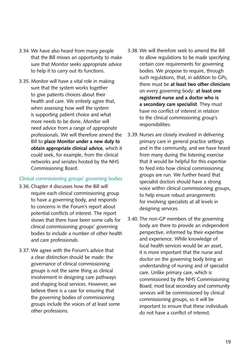- 3.34. We have also heard from many people that the Bill misses an opportunity to make sure that Monitor seeks appropriate advice to help it to carry out its functions.
- 3.35. Monitor will have a vital role in making sure that the system works together to give patients choices about their health and care. We entirely agree that, when assessing how well the system is supporting patient choice and what more needs to be done, Monitor will need advice from a range of appropriate professionals. We will therefore amend the Bill to **place Monitor under a new duty to obtain appropriate clinical advice**, which it could seek, for example, from the clinical networks and senates hosted by the NHS Commissioning Board.

#### Clinical commissioning groups' governing bodies

- 3.36. Chapter 4 discusses how the Bill will require each clinical commissioning group to have a governing body, and responds to concerns in the Forum's report about potential conflicts of interest. The report shows that there have been some calls for clinical commissioning groups' governing bodies to include a number of other health and care professionals.
- 3.37. We agree with the Forum's advice that a clear distinction should be made: the governance of clinical commissioning groups is not the same thing as clinical involvement in designing care pathways and shaping local services. However, we believe there is a case for ensuring that the governing bodies of commissioning groups include the voices of at least some other professions.
- 3.38. We will therefore seek to amend the Bill to allow regulations to be made specifying certain core requirements for governing bodies. We propose to require, through such regulations, that, in addition to GPs, there must be **at least two other clinicians**  on every governing body: **at least one registered nurse and a doctor who is a secondary care specialist**. They must have no conflict of interest in relation to the clinical commissioning group's responsibilities.
- 3.39. Nurses are closely involved in delivering primary care in general practice settings and in the community, and we have heard from many during the listening exercise that it would be helpful for this expertise to feed into how clinical commissioning groups are run. We further heard that specialist doctors should have a strong voice within clinical commissioning groups, to help ensure robust arrangements for involving specialists at all levels in designing services.
- 3.40. The non-GP members of the governing body are there to provide an independent perspective, informed by their expertise and experience. While knowledge of local health services would be an asset, it is more important that the nurse and doctor on the governing body bring an understanding of nursing and of specialist care. Unlike primary care, which is commissioned by the NHS Commissioning Board, most local secondary and community services will be commissioned by clinical commissioning groups, so it will be important to ensure that these individuals do not have a conflict of interest.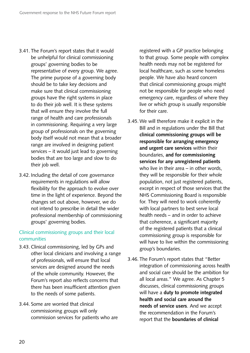- 3.41. The Forum's report states that it would be unhelpful for clinical commissioning groups' governing bodies to be representative of every group. We agree. The prime purpose of a governing body should be to take key decisions and make sure that clinical commissioning groups have the right systems in place to do their job well. It is these systems that will ensure they involve the full range of health and care professionals in commissioning. Requiring a very large group of professionals on the governing body itself would not mean that a broader range are involved in designing patient services – it would just lead to governing bodies that are too large and slow to do their job well.
- 3.42. Including the detail of core governance requirements in regulations will allow flexibility for the approach to evolve over time in the light of experience. Beyond the changes set out above, however, we do not intend to prescribe in detail the wider professional membership of commissioning groups' governing bodies.

#### Clinical commissioning groups and their local communities

- 3.43. Clinical commissioning, led by GPs and other local clinicians and involving a range of professionals, will ensure that local services are designed around the needs of the whole community. However, the Forum's report also reflects concerns that there has been insufficient attention given to the needs of some patients.
- 3.44. Some are worried that clinical commissioning groups will only commission services for patients who are

registered with a GP practice belonging to that group. Some people with complex health needs may not be registered for local healthcare, such as some homeless people. We have also heard concern that clinical commissioning groups might not be responsible for people who need emergency care, regardless of where they live or which group is usually responsible for their care.

- 3.45. We will therefore make it explicit in the Bill and in regulations under the Bill that **clinical commissioning groups will be responsible for arranging emergency and urgent care services** within their boundaries, **and for commissioning services for any unregistered patients**  who live in their area – in other words, they will be responsible for their whole population, not just registered patients, except in respect of those services that the NHS Commissioning Board is responsible for. They will need to work coherently with local partners to best serve local health needs – and in order to achieve that coherence, a significant majority of the registered patients that a clinical commissioning group is responsible for will have to live within the commissioning group's boundaries.
- 3.46. The Forum's report states that "Better integration of commissioning across health and social care should be the ambition for all local areas." We agree. As Chapter 5 discusses, clinical commissioning groups will have a **duty to promote integrated health and social care around the needs of service users**. And we accept the recommendation in the Forum's report that the **boundaries of clinical**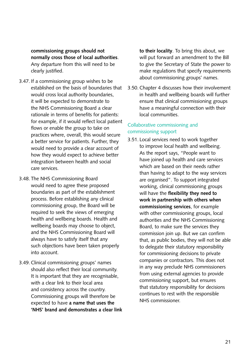**commissioning groups should not normally cross those of local authorities**. Any departure from this will need to be clearly justified.

- 3.47. If a commissioning group wishes to be established on the basis of boundaries that would cross local authority boundaries, it will be expected to demonstrate to the NHS Commissioning Board a clear rationale in terms of benefits for patients: for example, if it would reflect local patient flows or enable the group to take on practices where, overall, this would secure a better service for patients. Further, they would need to provide a clear account of how they would expect to achieve better integration between health and social care services.
- 3.48. The NHS Commissioning Board would need to agree these proposed boundaries as part of the establishment process. Before establishing any clinical commissioning group, the Board will be required to seek the views of emerging health and wellbeing boards. Health and wellbeing boards may choose to object, and the NHS Commissioning Board will always have to satisfy itself that any such objections have been taken properly into account.
- 3.49. Clinical commissioning groups' names should also reflect their local community. It is important that they are recognisable, with a clear link to their local area and consistency across the country. Commissioning groups will therefore be expected to have **a name that uses the 'NHS' brand and demonstrates a clear link**

**to their locality**. To bring this about, we will put forward an amendment to the Bill to give the Secretary of State the power to make regulations that specify requirements about commissioning groups' names.

3.50. Chapter 4 discusses how their involvement in health and wellbeing boards will further ensure that clinical commissioning groups have a meaningful connection with their local communities.

#### Collaborative commissioning and commissioning support

3.51. Local services need to work together to improve local health and wellbeing. As the report says, "People want to have joined up health and care services which are based on their needs rather than having to adapt to the way services are organised". To support integrated working, clinical commissioning groups will have the **flexibility they need to work in partnership with others when commissioning services**, for example with other commissioning groups, local authorities and the NHS Commissioning Board, to make sure the services they commission join up. But we can confirm that, as public bodies, they will not be able to delegate their statutory responsibility for commissioning decisions to private companies or contractors. This does not in any way preclude NHS commissioners from using external agencies to provide commissioning support, but ensures that statutory responsibility for decisions continues to rest with the responsible NHS commissioner.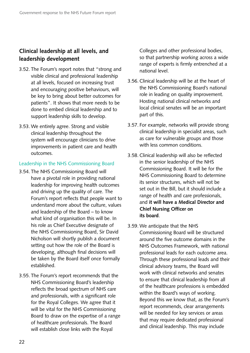## **Clinical leadership at all levels, and leadership development**

- 3.52. The Forum's report notes that "strong and visible clinical and professional leadership at all levels, focused on increasing trust and encouraging positive behaviours, will be key to bring about better outcomes for patients". It shows that more needs to be done to embed clinical leadership and to support leadership skills to develop.
- 3.53. We entirely agree. Strong and visible clinical leadership throughout the system will encourage clinicians to drive improvements in patient care and health outcomes.

#### Leadership in the NHS Commissioning Board

- 3.54. The NHS Commissioning Board will have a pivotal role in providing national leadership for improving health outcomes and driving up the quality of care. The Forum's report reflects that people want to understand more about the culture, values and leadership of the Board – to know what kind of organisation this will be. In his role as Chief Executive designate of the NHS Commissioning Board, Sir David Nicholson will shortly publish a document setting out how the role of the Board is developing, although final decisions will be taken by the Board itself once formally established.
- 3.55. The Forum's report recommends that the NHS Commissioning Board's leadership reflects the broad spectrum of NHS care and professionals, with a significant role for the Royal Colleges. We agree that it will be vital for the NHS Commissioning Board to draw on the expertise of a range of healthcare professionals. The Board will establish close links with the Royal

Colleges and other professional bodies, so that partnership working across a wide range of experts is firmly entrenched at a national level.

- 3.56. Clinical leadership will be at the heart of the NHS Commissioning Board's national role in leading on quality improvement. Hosting national clinical networks and local clinical senates will be an important part of this.
- 3.57. For example, networks will provide strong clinical leadership in specialist areas, such as care for vulnerable groups and those with less common conditions.
- 3.58. Clinical leadership will also be reflected in the senior leadership of the NHS Commissioning Board. It will be for the NHS Commissioning Board to determine its senior structures, which will not be set out in the Bill, but it should include a range of health and care professionals, and **it will have a Medical Director and Chief Nursing Officer on its board**.
- 3.59. We anticipate that the NHS Commissioning Board will be structured around the five outcome domains in the NHS Outcomes Framework, with national professional leads for each outcome area. Through these professional leads and their clinical advisory teams, the Board will work with clinical networks and senates to ensure that clinical leadership from all of the healthcare professions is embedded within the Board's ways of working. Beyond this we know that, as the Forum's report recommends, clear arrangements will be needed for key services or areas that may require dedicated professional and clinical leadership. This may include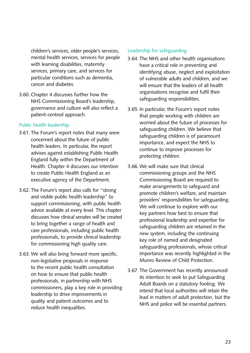children's services, older people's services, mental health services, services for people with learning disabilities, maternity services, primary care, and services for particular conditions such as dementia, cancer and diabetes.

3.60. Chapter 4 discusses further how the NHS Commissioning Board's leadership, governance and culture will also reflect a patient-centred approach.

#### Public health leadership

- 3.61. The Forum's report notes that many were concerned about the future of public health leaders. In particular, the report advises against establishing Public Health England fully within the Department of Health. Chapter 4 discusses our intention to create Public Health England as an executive agency of the Department.
- 3.62. The Forum's report also calls for "strong and visible public health leadership" to support commissioning, with public health advice available at every level. This chapter discusses how clinical senates will be created to bring together a range of health and care professionals, including public health professionals, to provide clinical leadership for commissioning high quality care.
- 3.63. We will also bring forward more specific, non-legislative proposals in response to the recent public health consultation on how to ensure that public health professionals, in partnership with NHS commissioners, play a key role in providing leadership to drive improvements in quality and patient outcomes and to reduce health inequalities.

#### Leadership for safeguarding

- 3.64. The NHS and other health organisations have a critical role in preventing and identifying abuse, neglect and exploitation of vulnerable adults and children, and we will ensure that the leaders of all health organisations recognise and fulfil their safeguarding responsibilities.
- 3.65. In particular, the Forum's report notes that people working with children are worried about the future of processes for safeguarding children. We believe that safeguarding children is of paramount importance, and expect the NHS to continue to improve processes for protecting children.
- 3.66. We will make sure that clinical commissioning groups and the NHS Commissioning Board are required to make arrangements to safeguard and promote children's welfare, and maintain providers' responsibilities for safeguarding. We will continue to explore with our key partners how best to ensure that professional leadership and expertise for safeguarding children are retained in the new system, including the continuing key role of named and designated safeguarding professionals, whose critical importance was recently highlighted in the Munro Review of Child Protection.
- 3.67. The Government has recently announced its intention to seek to put Safeguarding Adult Boards on a statutory footing. We intend that local authorities will retain the lead in matters of adult protection, but the NHS and police will be essential partners.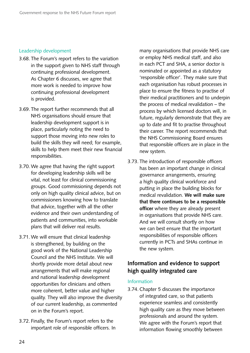#### Leadership development

- 3.68. The Forum's report refers to the variation in the support given to NHS staff through continuing professional development. As Chapter 6 discusses, we agree that more work is needed to improve how continuing professional development is provided.
- 3.69. The report further recommends that all NHS organisations should ensure that leadership development support is in place, particularly noting the need to support those moving into new roles to build the skills they will need; for example, skills to help them meet their new financial responsibilities.
- 3.70. We agree that having the right support for developing leadership skills will be vital, not least for clinical commissioning groups. Good commissioning depends not only on high quality clinical advice, but on commissioners knowing how to translate that advice, together with all the other evidence and their own understanding of patients and communities, into workable plans that will deliver real results.
- 3.71. We will ensure that clinical leadership is strengthened, by building on the good work of the National Leadership Council and the NHS Institute. We will shortly provide more detail about new arrangements that will make regional and national leadership development opportunities for clinicians and others more coherent, better value and higher quality. They will also improve the diversity of our current leadership, as commented on in the Forum's report.
- 3.72. Finally, the Forum's report refers to the important role of responsible officers. In

many organisations that provide NHS care or employ NHS medical staff, and also in each PCT and SHA, a senior doctor is nominated or appointed as a statutory 'responsible officer'. They make sure that each organisation has robust processes in place to ensure the fitness to practise of their medical practitioners and to underpin the process of medical revalidation – the process by which licensed doctors will, in future, regularly demonstrate that they are up to date and fit to practise throughout their career. The report recommends that the NHS Commissioning Board ensures that responsible officers are in place in the new system.

3.73. The introduction of responsible officers has been an important change in clinical governance arrangements, ensuring a high quality clinical workforce and putting in place the building blocks for medical revalidation. **We will make sure that there continues to be a responsible officer** where they are already present in organisations that provide NHS care. And we will consult shortly on how we can best ensure that the important responsibilities of responsible officers currently in PCTs and SHAs continue in the new system.

## **Information and evidence to support high quality integrated care**

#### Information

3.74. Chapter 5 discusses the importance of integrated care, so that patients experience seamless and consistently high quality care as they move between professionals and around the system. We agree with the Forum's report that information flowing smoothly between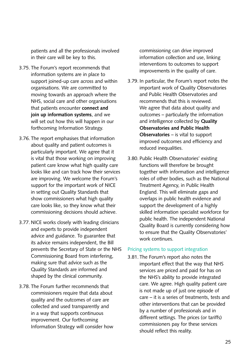patients and all the professionals involved in their care will be key to this.

- 3.75. The Forum's report recommends that information systems are in place to support joined-up care across and within organisations. We are committed to moving towards an approach where the NHS, social care and other organisations that patients encounter **connect and join up information systems**, and we will set out how this will happen in our forthcoming Information Strategy.
- 3.76. The report emphasises that information about quality and patient outcomes is particularly important. We agree that it is vital that those working on improving patient care know what high quality care looks like and can track how their services are improving. We welcome the Forum's support for the important work of NICE in setting out Quality Standards that show commissioners what high quality care looks like, so they know what their commissioning decisions should achieve.
- 3.77. NICE works closely with leading clinicians and experts to provide independent advice and guidance. To guarantee that its advice remains independent, the Bill prevents the Secretary of State or the NHS Commissioning Board from interfering, making sure that advice such as the Quality Standards are informed and shaped by the clinical community.
- 3.78. The Forum further recommends that commissioners require that data about quality and the outcomes of care are collected and used transparently and in a way that supports continuous improvement. Our forthcoming Information Strategy will consider how

commissioning can drive improved information collection and use, linking interventions to outcomes to support improvements in the quality of care.

- 3.79. In particular, the Forum's report notes the important work of Quality Observatories and Public Health Observatories and recommends that this is reviewed. We agree that data about quality and outcomes – particularly the information and intelligence collected by **Quality Observatories and Public Health Observatories** – is vital to support improved outcomes and efficiency and reduced inequalities.
- 3.80. Public Health Observatories' existing functions will therefore be brought together with information and intelligence roles of other bodies, such as the National Treatment Agency, in Public Health England. This will eliminate gaps and overlaps in public health evidence and support the development of a highly skilled information specialist workforce for public health. The independent National Quality Board is currently considering how to ensure that the Quality Observatories' work continues.

#### Pricing systems to support integration

3.81. The Forum's report also notes the important effect that the way that NHS services are priced and paid for has on the NHS's ability to provide integrated care. We agree. High quality patient care is not made up of just one episode of care – it is a series of treatments, tests and other interventions that can be provided by a number of professionals and in different settings. The prices (or tariffs) commissioners pay for these services should reflect this reality.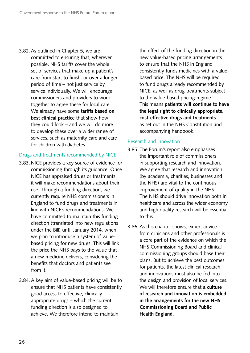3.82. As outlined in Chapter 5, we are committed to ensuring that, wherever possible, NHS tariffs cover the whole set of services that make up a patient's care from start to finish, or over a longer period of time – not just service by service individually. We will encourage commissioners and providers to work together to agree these for local care. We already have some **tariffs based on best clinical practice** that show how they could look – and we will do more to develop these over a wider range of services, such as maternity care and care for children with diabetes.

#### Drugs and treatments recommended by NICE

- 3.83. NICE provides a key source of evidence for commissioning through its guidance. Once NICE has appraised drugs or treatments, it will make recommendations about their use. Through a funding direction, we currently require NHS commissioners in England to fund drugs and treatments in line with NICE's recommendations. We have committed to maintain this funding direction (translated into new regulations under the Bill) until January 2014, when we plan to introduce a system of valuebased pricing for new drugs. This will link the price the NHS pays to the value that a new medicine delivers, considering the benefits that doctors and patients see from it.
- 3.84. A key aim of value-based pricing will be to ensure that NHS patients have consistently good access to effective, clinically appropriate drugs – which the current funding direction is also designed to achieve. We therefore intend to maintain

the effect of the funding direction in the new value-based pricing arrangements to ensure that the NHS in England consistently funds medicines with a valuebased price. The NHS will be required to fund drugs already recommended by NICE, as well as drug treatments subject to the value-based pricing regime. This means **patients will continue to have the legal right to clinically appropriate, cost-effective drugs and treatments**  as set out in the NHS Constitution and accompanying handbook.

#### Research and innovation

- 3.85. The Forum's report also emphasises the important role of commissioners in supporting research and innovation. We agree that research and innovation (by academia, charities, businesses and the NHS) are vital to the continuous improvement of quality in the NHS. The NHS should drive innovation both in healthcare and across the wider economy, and high quality research will be essential to this.
- 3.86. As this chapter shows, expert advice from clinicians and other professionals is a core part of the evidence on which the NHS Commissioning Board and clinical commissioning groups should base their plans. But to achieve the best outcomes for patients, the latest clinical research and innovations must also be fed into the design and provision of local services. We will therefore ensure that **a culture of research and innovation is embedded in the arrangements for the new NHS Commissioning Board and Public Health England**.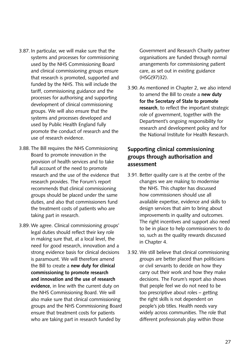- 3.87. In particular, we will make sure that the systems and processes for commissioning used by the NHS Commissioning Board and clinical commissioning groups ensure that research is promoted, supported and funded by the NHS. This will include the tariff, commissioning guidance and the processes for authorising and supporting development of clinical commissioning groups. We will also ensure that the systems and processes developed and used by Public Health England fully promote the conduct of research and the use of research evidence.
- 3.88. The Bill requires the NHS Commissioning Board to promote innovation in the provision of health services and to take full account of the need to promote research and the use of the evidence that research provides. The Forum's report recommends that clinical commissioning groups should be placed under the same duties, and also that commissioners fund the treatment costs of patients who are taking part in research.
- 3.89. We agree. Clinical commissioning groups' legal duties should reflect their key role in making sure that, at a local level, the need for good research, innovation and a strong evidence basis for clinical decisions is paramount. We will therefore amend the Bill to create a **new duty for clinical commissioning to promote research and innovation and the use of research evidence**, in line with the current duty on the NHS Commissioning Board. We will also make sure that clinical commissioning groups and the NHS Commissioning Board ensure that treatment costs for patients who are taking part in research funded by

Government and Research Charity partner organisations are funded through normal arrangements for commissioning patient care, as set out in existing guidance (HSG(97)32).

3.90. As mentioned in Chapter 2, we also intend to amend the Bill to create a **new duty for the Secretary of State to promote research**, to reflect the important strategic role of government, together with the Department's ongoing responsibility for research and development policy and for the National Institute for Health Research.

## **Supporting clinical commissioning groups through authorisation and assessment**

- 3.91. Better quality care is at the centre of the changes we are making to modernise the NHS. This chapter has discussed how commissioners should use all available expertise, evidence and skills to design services that aim to bring about improvements in quality and outcomes. The right incentives and support also need to be in place to help commissioners to do so, such as the quality rewards discussed in Chapter 4.
- 3.92. We still believe that clinical commissioning groups are better placed than politicians or civil servants to decide on how they carry out their work and how they make decisions. The Forum's report also shows that people feel we do not need to be too prescriptive about roles – getting the right skills is not dependent on people's job titles. Health needs vary widely across communities. The role that different professionals play within those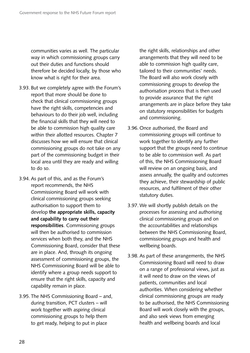communities varies as well. The particular way in which commissioning groups carry out their duties and functions should therefore be decided locally, by those who know what is right for their area.

- 3.93. But we completely agree with the Forum's report that more should be done to check that clinical commissioning groups have the right skills, competencies and behaviours to do their job well, including the financial skills that they will need to be able to commission high quality care within their allotted resources. Chapter 7 discusses how we will ensure that clinical commissioning groups do not take on any part of the commissioning budget in their local area until they are ready and willing to do so.
- 3.94. As part of this, and as the Forum's report recommends, the NHS Commissioning Board will work with clinical commissioning groups seeking authorisation to support them to develop **the appropriate skills, capacity and capability to carry out their responsibilities**. Commissioning groups will then be authorised to commission services when both they, and the NHS Commissioning Board, consider that these are in place. And, through its ongoing assessment of commissioning groups, the NHS Commissioning Board will be able to identify where a group needs support to ensure that the right skills, capacity and capability remain in place.
- 3.95. The NHS Commissioning Board and, during transition, PCT clusters – will work together with aspiring clinical commissioning groups to help them to get ready, helping to put in place

the right skills, relationships and other arrangements that they will need to be able to commission high quality care, tailored to their communities' needs. The Board will also work closely with commissioning groups to develop the authorisation process that is then used to provide assurance that the right arrangements are in place before they take on statutory responsibilities for budgets and commissioning.

- 3.96. Once authorised, the Board and commissioning groups will continue to work together to identify any further support that the groups need to continue to be able to commission well. As part of this, the NHS Commissioning Board will review on an ongoing basis, and assess annually, the quality and outcomes they achieve, their stewardship of public resources, and fulfilment of their other statutory duties.
- 3.97. We will shortly publish details on the processes for assessing and authorising clinical commissioning groups and on the accountabilities and relationships between the NHS Commissioning Board, commissioning groups and health and wellbeing boards.
- 3.98. As part of these arrangements, the NHS Commissioning Board will need to draw on a range of professional views, just as it will need to draw on the views of patients, communities and local authorities. When considering whether clinical commissioning groups are ready to be authorised, the NHS Commissioning Board will work closely with the groups, and also seek views from emerging health and wellbeing boards and local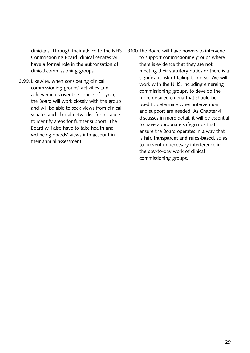clinicians. Through their advice to the NHS Commissioning Board, clinical senates will have a formal role in the authorisation of clinical commissioning groups.

- 3.99. Likewise, when considering clinical commissioning groups' activities and achievements over the course of a year, the Board will work closely with the group and will be able to seek views from clinical senates and clinical networks, for instance to identify areas for further support. The Board will also have to take health and wellbeing boards' views into account in their annual assessment.
- 3.100.The Board will have powers to intervene to support commissioning groups where there is evidence that they are not meeting their statutory duties or there is a significant risk of failing to do so. We will work with the NHS, including emerging commissioning groups, to develop the more detailed criteria that should be used to determine when intervention and support are needed. As Chapter 4 discusses in more detail, it will be essential to have appropriate safeguards that ensure the Board operates in a way that is **fair, transparent and rules-based**, so as to prevent unnecessary interference in the day-to-day work of clinical commissioning groups.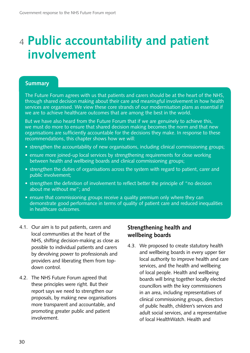## <sup>4</sup>**Public accountability and patient involvement**

#### **Summary**

The Future Forum agrees with us that patients and carers should be at the heart of the NHS, through shared decision making about their care and meaningful involvement in how health services are organised. We view these core strands of our modernisation plans as essential if we are to achieve healthcare outcomes that are among the best in the world.

But we have also heard from the Future Forum that if we are genuinely to achieve this, we must do more to ensure that shared decision making becomes the norm and that new organisations are sufficiently accountable for the decisions they make. In response to these recommendations, this chapter shows how we will:

- strengthen the accountability of new organisations, including clinical commissioning groups;
- ensure more joined-up local services by strengthening requirements for close working between health and wellbeing boards and clinical commissioning groups;
- strengthen the duties of organisations across the system with regard to patient, carer and public involvement;
- strengthen the definition of involvement to reflect better the principle of "no decision about me without me"; and
- ensure that commissioning groups receive a quality premium only where they can demonstrate good performance in terms of quality of patient care and reduced inequalities in healthcare outcomes.
- 4.1. Our aim is to put patients, carers and local communities at the heart of the NHS, shifting decision-making as close as possible to individual patients and carers by devolving power to professionals and providers and liberating them from topdown control.
- 4.2. The NHS Future Forum agreed that these principles were right. But their report says we need to strengthen our proposals, by making new organisations more transparent and accountable, and promoting greater public and patient involvement.

## **Strengthening health and wellbeing boards**

4.3. We proposed to create statutory health and wellbeing boards in every upper tier local authority to improve health and care services, and the health and wellbeing of local people. Health and wellbeing boards will bring together locally elected councillors with the key commissioners in an area, including representatives of clinical commissioning groups, directors of public health, children's services and adult social services, and a representative of local HealthWatch. Health and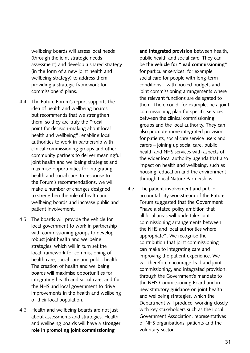wellbeing boards will assess local needs (through the joint strategic needs assessment) and develop a shared strategy (in the form of a new joint health and wellbeing strategy) to address them, providing a strategic framework for commissioners' plans.

- 4.4. The Future Forum's report supports the idea of health and wellbeing boards, but recommends that we strengthen them, so they are truly the "focal point for decision-making about local health and wellbeing", enabling local authorities to work in partnership with clinical commissioning groups and other community partners to deliver meaningful joint health and wellbeing strategies and maximise opportunities for integrating health and social care. In response to the Forum's recommendations, we will make a number of changes designed to strengthen the role of health and wellbeing boards and increase public and patient involvement.
- 4.5. The boards will provide the vehicle for local government to work in partnership with commissioning groups to develop robust joint health and wellbeing strategies, which will in turn set the local framework for commissioning of health care, social care and public health. The creation of health and wellbeing boards will maximise opportunities for integrating health and social care, and for the NHS and local government to drive improvements in the health and wellbeing of their local population.
- 4.6. Health and wellbeing boards are not just about assessments and strategies. Health and wellbeing boards will have a **stronger role in promoting joint commissioning**

**and integrated provision** between health, public health and social care. They can be **the vehicle for "lead commissioning"**  for particular services, for example social care for people with long-term conditions – with pooled budgets and joint commissioning arrangements where the relevant functions are delegated to them. There could, for example, be a joint commissioning plan for specific services between the clinical commissioning groups and the local authority. They can also promote more integrated provision for patients, social care service users and carers – joining up social care, public health and NHS services with aspects of the wider local authority agenda that also impact on health and wellbeing, such as housing, education and the environment through Local Nature Partnerships.

4.7. The patient involvement and public accountability workstream of the Future Forum suggested that the Government "have a stated policy ambition that all local areas will undertake joint commissioning arrangements between the NHS and local authorities where appropriate". We recognise the contribution that joint commissioning can make to integrating care and improving the patient experience. We will therefore encourage lead and joint commissioning, and integrated provision, through the Government's mandate to the NHS Commissioning Board and in new statutory guidance on joint health and wellbeing strategies, which the Department will produce, working closely with key stakeholders such as the Local Government Association, representatives of NHS organisations, patients and the voluntary sector.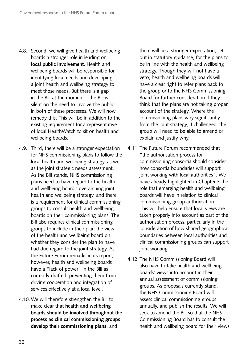- 4.8. Second, we will give health and wellbeing boards a stronger role in leading on **local public involvement**. Health and wellbeing boards will be responsible for identifying local needs and developing a joint health and wellbeing strategy to meet those needs. But there is a gap in the Bill at the moment – the Bill is silent on the need to involve the public in both of these processes. We will now remedy this. This will be in addition to the existing requirement for a representative of local HealthWatch to sit on health and wellbeing boards.
- 4.9. Third, there will be a stronger expectation for NHS commissioning plans to follow the local health and wellbeing strategy, as well as the joint strategic needs assessment. As the Bill stands, NHS commissioning plans need to have regard to the health and wellbeing board's overarching joint health and wellbeing strategy, and there is a requirement for clinical commissioning groups to consult health and wellbeing boards on their commissioning plans. The Bill also requires clinical commissioning groups to include in their plan the view of the health and wellbeing board on whether they consider the plan to have had due regard to the joint strategy. As the Future Forum remarks in its report, however, health and wellbeing boards have a "lack of power" in the Bill as currently drafted, preventing them from driving cooperation and integration of services effectively at a local level.
- 4.10. We will therefore strengthen the Bill to make clear that **health and wellbeing boards should be involved throughout the process as clinical commissioning groups develop their commissioning plans**, and

there will be a stronger expectation, set out in statutory guidance, for the plans to be in line with the health and wellbeing strategy. Though they will not have a veto, health and wellbeing boards will have a clear right to refer plans back to the group or to the NHS Commissioning Board for further consideration if they think that the plans are not taking proper account of the strategy. Where the commissioning plans vary significantly from the joint strategy, if challenged, the group will need to be able to amend or explain and justify why.

- 4.11. The Future Forum recommended that "the authorisation process for commissioning consortia should consider how consortia boundaries will support joint working with local authorities". We have already highlighted in Chapter 3 the role that emerging health and wellbeing boards will have in relation to clinical commissioning group authorisation. This will help ensure that local views are taken properly into account as part of the authorisation process, particularly in the consideration of how shared geographical boundaries between local authorities and clinical commissioning groups can support joint working.
- 4.12. The NHS Commissioning Board will also have to take health and wellbeing boards' views into account in their annual assessment of commissioning groups. As proposals currently stand, the NHS Commissioning Board will assess clinical commissioning groups annually, and publish the results. We will seek to amend the Bill so that the NHS Commissioning Board has to consult the health and wellbeing board for their views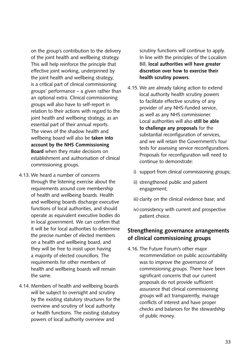on the group's contribution to the delivery of the joint health and wellbeing strategy. This will help reinforce the principle that effective joint working, underpinned by the joint health and wellbeing strategy, is a critical part of clinical commissioning groups' performance – a given rather than an optional extra. Clinical commissioning groups will also have to self-report in relation to their actions with regard to the joint health and wellbeing strategy, as an essential part of their annual reports. The views of the shadow health and wellbeing board will also be **taken into account by the NHS Commissioning Board** when they make decisions on establishment and authorisation of clinical commissioning groups.

- 4.13. We heard a number of concerns through the listening exercise about the requirements around core membership of health and wellbeing boards. Health and wellbeing boards discharge executive functions of local authorities, and should operate as equivalent executive bodies do in local government. We can confirm that it will be for local authorities to determine the precise number of elected members on a health and wellbeing board, and they will be free to insist upon having a majority of elected councillors. The requirements for other members of health and wellbeing boards will remain the same.
- 4.14. Members of health and wellbeing boards will be subject to oversight and scrutiny by the existing statutory structures for the overview and scrutiny of local authority or health functions. The existing statutory powers of local authority overview and

scrutiny functions will continue to apply. In line with the principles of the Localism Bill, **local authorities will have greater discretion over how to exercise their health scrutiny powers**.

- 4.15. We are already taking action to extend local authority health scrutiny powers to facilitate effective scrutiny of any provider of any NHS-funded service, as well as any NHS commissioner. Local authorities will also **still be able to challenge any proposals** for the substantial reconfiguration of services, and we will retain the Government's four tests for assessing service reconfigurations. Proposals for reconfiguration will need to continue to demonstrate:
	- i) support from clinical commissioning groups;
	- ii) strengthened public and patient engagement;
	- iii) clarity on the clinical evidence base; and
	- iv) consistency with current and prospective patient choice.

### **Strengthening governance arrangements of clinical commissioning groups**

4.16. The Future Forum's other major recommendation on public accountability was to improve the governance of commissioning groups. There have been significant concerns that our current proposals do not provide sufficient assurance that clinical commissioning groups will act transparently, manage conflicts of interest and have proper checks and balances for the stewardship of public money.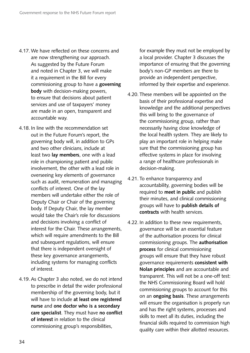- 4.17. We have reflected on these concerns and are now strengthening our approach. As suggested by the Future Forum and noted in Chapter 3, we will make it a requirement in the Bill for every commissioning group to have a **governing body** with decision-making powers, to ensure that decisions about patient services and use of taxpayers' money are made in an open, transparent and accountable way.
- 4.18. In line with the recommendation set out in the Future Forum's report, the governing body will, in addition to GPs and two other clinicians, include at least two **lay members**, one with a lead role in championing patient and public involvement, the other with a lead role in overseeing key elements of governance such as audit, remuneration and managing conflicts of interest. One of the lay members will undertake either the role of Deputy Chair or Chair of the governing body. If Deputy Chair, the lay member would take the Chair's role for discussions and decisions involving a conflict of interest for the Chair. These arrangements, which will require amendments to the Bill and subsequent regulations, will ensure that there is independent oversight of these key governance arrangements, including systems for managing conflicts of interest.
- 4.19. As Chapter 3 also noted, we do not intend to prescribe in detail the wider professional membership of the governing body, but it will have to include **at least one registered nurse** and **one doctor who is a secondary care specialist**. They must have **no conflict of interest** in relation to the clinical commissioning group's responsibilities,

for example they must not be employed by a local provider. Chapter 3 discusses the importance of ensuring that the governing body's non-GP members are there to provide an independent perspective, informed by their expertise and experience.

- 4.20. These members will be appointed on the basis of their professional expertise and knowledge and the additional perspectives this will bring to the governance of the commissioning group, rather than necessarily having close knowledge of the local health system. They are likely to play an important role in helping make sure that the commissioning group has effective systems in place for involving a range of healthcare professionals in decision-making.
- 4.21. To enhance transparency and accountability, governing bodies will be required to **meet in public** and publish their minutes, and clinical commissioning groups will have to **publish details of contracts** with health services.
- 4.22. In addition to these new requirements, governance will be an essential feature of the authorisation process for clinical commissioning groups. The **authorisation process** for clinical commissioning groups will ensure that they have robust governance requirements **consistent with Nolan principles** and are accountable and transparent. This will not be a one-off test: the NHS Commissioning Board will hold commissioning groups to account for this on an **ongoing basis**. These arrangements will ensure the organisation is properly run and has the right systems, processes and skills to meet all its duties, including the financial skills required to commission high quality care within their allotted resources.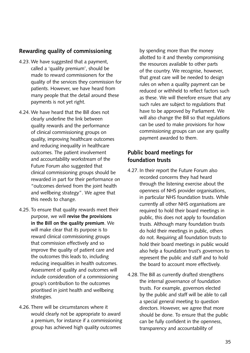## **Rewarding quality of commissioning**

- 4.23. We have suggested that a payment, called a 'quality premium', should be made to reward commissioners for the quality of the services they commission for patients. However, we have heard from many people that the detail around these payments is not yet right.
- 4.24. We have heard that the Bill does not clearly underline the link between quality rewards and the performance of clinical commissioning groups on quality, improving healthcare outcomes and reducing inequality in healthcare outcomes. The patient involvement and accountability workstream of the Future Forum also suggested that clinical commissioning groups should be rewarded in part for their performance on "outcomes derived from the joint health and wellbeing strategy". We agree that this needs to change.
- 4.25. To ensure that quality rewards meet their purpose, we will **revise the provisions in the Bill on the quality premium**. We will make clear that its purpose is to reward clinical commissioning groups that commission effectively and so improve the quality of patient care and the outcomes this leads to, including reducing inequalities in health outcomes. Assessment of quality and outcomes will include consideration of a commissioning group's contribution to the outcomes prioritised in joint health and wellbeing strategies.
- 4.26. There will be circumstances where it would clearly not be appropriate to award a premium, for instance if a commissioning group has achieved high quality outcomes

by spending more than the money allotted to it and thereby compromising the resources available to other parts of the country. We recognise, however, that great care will be needed to design rules on when a quality payment can be reduced or withheld to reflect factors such as these. We will therefore ensure that any such rules are subject to regulations that have to be approved by Parliament. We will also change the Bill so that regulations can be used to make provisions for how commissioning groups can use any quality payment awarded to them.

### **Public board meetings for foundation trusts**

- 4.27. In their report the Future Forum also recorded concerns they had heard through the listening exercise about the openness of NHS provider organisations, in particular NHS foundation trusts. While currently all other NHS organisations are required to hold their board meetings in public, this does not apply to foundation trusts. Although many foundation trusts do hold their meetings in public, others do not. Requiring all foundation trusts to hold their board meetings in public would also help a foundation trust's governors to represent the public and staff and to hold the board to account more effectively.
- 4.28. The Bill as currently drafted strengthens the internal governance of foundation trusts. For example, governors elected by the public and staff will be able to call a special general meeting to question directors. However, we agree that more should be done. To ensure that the public can be fully confident in the openness, transparency and accountability of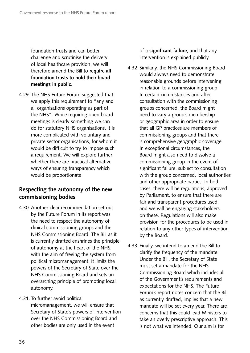foundation trusts and can better challenge and scrutinise the delivery of local healthcare provision, we will therefore amend the Bill to **require all foundation trusts to hold their board meetings in public**.

4.29. The NHS Future Forum suggested that we apply this requirement to "any and all organisations operating as part of the NHS". While requiring open board meetings is clearly something we can do for statutory NHS organisations, it is more complicated with voluntary and private sector organisations, for whom it would be difficult to try to impose such a requirement. We will explore further whether there are practical alternative ways of ensuring transparency which would be proportionate.

## **Respecting the autonomy of the new commissioning bodies**

- 4.30. Another clear recommendation set out by the Future Forum in its report was the need to respect the autonomy of clinical commissioning groups and the NHS Commissioning Board. The Bill as it is currently drafted enshrines the principle of autonomy at the heart of the NHS, with the aim of freeing the system from political micromanagement. It limits the powers of the Secretary of State over the NHS Commissioning Board and sets an overarching principle of promoting local autonomy.
- 4.31. To further avoid political

micromanagement, we will ensure that Secretary of State's powers of intervention over the NHS Commissioning Board and other bodies are only used in the event

of a **significant failure**, and that any intervention is explained publicly.

- 4.32. Similarly, the NHS Commissioning Board would always need to demonstrate reasonable grounds before intervening in relation to a commissioning group. In certain circumstances and after consultation with the commissioning groups concerned, the Board might need to vary a group's membership or geographic area in order to ensure that all GP practices are members of commissioning groups and that there is comprehensive geographic coverage. In exceptional circumstances, the Board might also need to dissolve a commissioning group in the event of significant failure, subject to consultation with the group concerned, local authorities and other appropriate parties. In both cases, there will be regulations, approved by Parliament, to ensure that there are fair and transparent procedures used, and we will be engaging stakeholders on these. Regulations will also make provision for the procedures to be used in relation to any other types of intervention by the Board.
- 4.33. Finally, we intend to amend the Bill to clarify the frequency of the mandate. Under the Bill, the Secretary of State must set a mandate for the NHS Commissioning Board which includes all of the Government's requirements and expectations for the NHS. The Future Forum's report notes concern that the Bill as currently drafted, implies that a new mandate will be set every year. There are concerns that this could lead Ministers to take an overly prescriptive approach. This is not what we intended. Our aim is for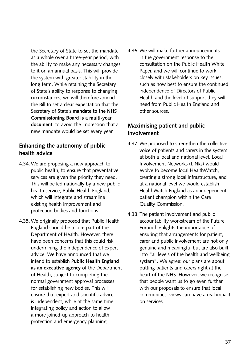the Secretary of State to set the mandate as a whole over a three-year period, with the ability to make any necessary changes to it on an annual basis. This will provide the system with greater stability in the long term. While retaining the Secretary of State's ability to response to changing circumstances, we will therefore amend the Bill to set a clear expectation that the Secretary of State's **mandate to the NHS Commissioning Board is a multi-year document**, to avoid the impression that a new mandate would be set every year.

## **Enhancing the autonomy of public health advice**

- 4.34. We are proposing a new approach to public health, to ensure that preventative services are given the priority they need. This will be led nationally by a new public health service, Public Health England, which will integrate and streamline existing health improvement and protection bodies and functions.
- 4.35. We originally proposed that Public Health England should be a core part of the Department of Health. However, there have been concerns that this could risk undermining the independence of expert advice. We have announced that we intend to establish **Public Health England as an executive agency** of the Department of Health, subject to completing the normal government approval processes for establishing new bodies. This will ensure that expert and scientific advice is independent, while at the same time integrating policy and action to allow a more joined-up approach to health protection and emergency planning.

4.36. We will make further announcements in the government response to the consultation on the Public Health White Paper, and we will continue to work closely with stakeholders on key issues, such as how best to ensure the continued independence of Directors of Public Health and the level of support they will need from Public Health England and other sources.

### **Maximising patient and public involvement**

- 4.37. We proposed to strengthen the collective voice of patients and carers in the system at both a local and national level. Local Involvement Networks (LINks) would evolve to become local HealthWatch, creating a strong local infrastructure, and at a national level we would establish HealthWatch England as an independent patient champion within the Care Quality Commission.
- 4.38. The patient involvement and public accountability workstream of the Future Forum highlights the importance of ensuring that arrangements for patient, carer and public involvement are not only genuine and meaningful but are also built into "all levels of the health and wellbeing system". We agree: our plans are about putting patients and carers right at the heart of the NHS. However, we recognise that people want us to go even further with our proposals to ensure that local communities' views can have a real impact on services.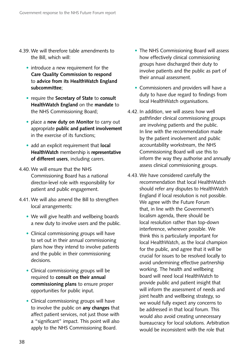- 4.39. We will therefore table amendments to the Bill, which will:
	- introduce a new requirement for the **Care Quality Commission to respond**  to **advice from its HealthWatch England subcommittee**;
	- • require the **Secretary of State** to **consult HealthWatch England** on the **mandate** to the NHS Commissioning Board;
	- place a **new duty on Monitor** to carry out appropriate **public and patient involvement**  in the exercise of its functions;
	- add an explicit requirement that **local HealthWatch** membership is **representative of different users**, including carers.
- 4.40. We will ensure that the NHS Commissioning Board has a national director-level role with responsibility for patient and public engagement.
- 4.41. We will also amend the Bill to strengthen local arrangements:
	- We will give health and wellbeing boards a new duty to involve users and the public.
	- Clinical commissioning groups will have to set out in their annual commissioning plans how they intend to involve patients and the public in their commissioning decisions.
	- Clinical commissioning groups will be required to **consult on their annual commissioning plans** to ensure proper opportunities for public input.
	- Clinical commissioning groups will have to involve the public on **any changes** that affect patient services, not just those with a "significant" impact. This point will also apply to the NHS Commissioning Board.
- The NHS Commissioning Board will assess how effectively clinical commissioning groups have discharged their duty to involve patients and the public as part of their annual assessment.
- Commissioners and providers will have a duty to have due regard to findings from local HealthWatch organisations.
- 4.42. In addition, we will assess how well pathfinder clinical commissioning groups are involving patients and the public. In line with the recommendation made by the patient involvement and public accountability workstream, the NHS Commissioning Board will use this to inform the way they authorise and annually assess clinical commissioning groups.
- 4.43. We have considered carefully the recommendation that local HealthWatch should refer any disputes to HealthWatch England if local resolution is not possible. We agree with the Future Forum that, in line with the Government's localism agenda, there should be local resolution rather than top-down interference, wherever possible. We think this is particularly important for local HealthWatch, as the local champion for the public, and agree that it will be crucial for issues to be resolved locally to avoid undermining effective partnership working. The health and wellbeing board will need local HealthWatch to provide public and patient insight that will inform the assessment of needs and joint health and wellbeing strategy, so we would fully expect any concerns to be addressed in that local forum. This would also avoid creating unnecessary bureaucracy for local solutions. Arbitration would be inconsistent with the role that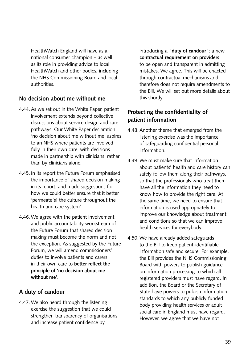HealthWatch England will have as a national consumer champion – as well as its role in providing advice to local HealthWatch and other bodies, including the NHS Commissioning Board and local authorities.

### **No decision about me without me**

- 4.44. As we set out in the White Paper, patient involvement extends beyond collective discussions about service design and care pathways. Our White Paper declaration, 'no decision about me without me' aspires to an NHS where patients are involved fully in their own care, with decisions made in partnership with clinicians, rather than by clinicians alone.
- 4.45. In its report the Future Forum emphasised the importance of shared decision making in its report, and made suggestions for how we could better ensure that it better 'permeate[s] the culture throughout the health and care system'.
- 4.46. We agree with the patient involvement and public accountability workstream of the Future Forum that shared decision making must become the norm and not the exception. As suggested by the Future Forum, we will amend commissioners' duties to involve patients and carers in their own care to **better reflect the principle of 'no decision about me without me'**.

#### **A duty of candour**

4.47. We also heard through the listening exercise the suggestion that we could strengthen transparency of organisations and increase patient confidence by

introducing a **"duty of candour"**: a new **contractual requirement on providers**  to be open and transparent in admitting mistakes. We agree. This will be enacted through contractual mechanisms and therefore does not require amendments to the Bill. We will set out more details about this shortly.

### **Protecting the confidentiality of patient information**

- 4.48. Another theme that emerged from the listening exercise was the importance of safeguarding confidential personal information.
- 4.49. We must make sure that information about patients' health and care history can safely follow them along their pathways, so that the professionals who treat them have all the information they need to know how to provide the right care. At the same time, we need to ensure that information is used appropriately to improve our knowledge about treatment and conditions so that we can improve health services for everybody.
- 4.50. We have already added safeguards to the Bill to keep patient-identifiable information safe and secure. For example, the Bill provides the NHS Commissioning Board with powers to publish guidance on information processing to which all registered providers must have regard. In addition, the Board or the Secretary of State have powers to publish information standards to which any publicly funded body providing health services or adult social care in England must have regard. However, we agree that we have not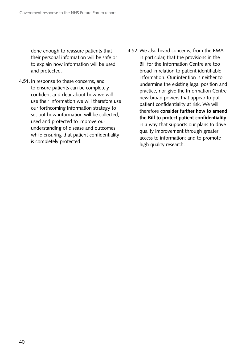done enough to reassure patients that their personal information will be safe or to explain how information will be used and protected.

- 4.51. In response to these concerns, and to ensure patients can be completely confident and clear about how we will use their information we will therefore use our forthcoming information strategy to set out how information will be collected, used and protected to improve our understanding of disease and outcomes while ensuring that patient confidentiality is completely protected.
- 4.52. We also heard concerns, from the BMA in particular, that the provisions in the Bill for the Information Centre are too broad in relation to patient identifiable information. Our intention is neither to undermine the existing legal position and practice, nor give the Information Centre new broad powers that appear to put patient confidentiality at risk. We will therefore **consider further how to amend the Bill to protect patient confidentiality**  in a way that supports our plans to drive quality improvement through greater access to information; and to promote high quality research.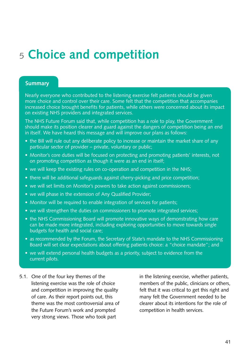## <sup>5</sup>**Choice and competition**

#### **Summary**

Nearly everyone who contributed to the listening exercise felt patients should be given more choice and control over their care. Some felt that the competition that accompanies increased choice brought benefits for patients, while others were concerned about its impact on existing NHS providers and integrated services.

The NHS Future Forum said that, while competition has a role to play, the Government should make its position clearer and guard against the dangers of competition being an end in itself. We have heard this message and will improve our plans as follows:

- the Bill will rule out any deliberate policy to increase or maintain the market share of any particular sector of provider – private, voluntary or public;
- Monitor's core duties will be focused on protecting and promoting patients' interests, not on promoting competition as though it were as an end in itself;
- we will keep the existing rules on co-operation and competition in the NHS;
- there will be additional safeguards against cherry-picking and price competition:
- we will set limits on Monitor's powers to take action against commissioners;
- we will phase in the extension of Any Qualified Provider;
- Monitor will be required to enable integration of services for patients;
- we will strengthen the duties on commissioners to promote integrated services;
- the NHS Commissioning Board will promote innovative ways of demonstrating how care can be made more integrated, including exploring opportunities to move towards single budgets for health and social care;
- as recommended by the Forum, the Secretary of State's mandate to the NHS Commissioning Board will set clear expectations about offering patients choice: a "choice mandate"; and
- we will extend personal health budgets as a priority, subject to evidence from the current pilots.
- 5.1. One of the four key themes of the listening exercise was the role of choice and competition in improving the quality of care. As their report points out, this theme was the most controversial area of the Future Forum's work and prompted very strong views. Those who took part

in the listening exercise, whether patients, members of the public, clinicians or others, felt that it was critical to get this right and many felt the Government needed to be clearer about its intentions for the role of competition in health services.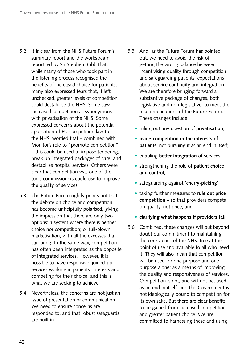- 5.2. It is clear from the NHS Future Forum's summary report and the workstream report led by Sir Stephen Bubb that, while many of those who took part in the listening process recognised the benefits of increased choice for patients, many also expressed fears that, if left unchecked, greater levels of competition could destabilise the NHS. Some saw increased competition as synonymous with privatisation of the NHS. Some expressed concerns about the potential application of EU competition law to the NHS, worried that – combined with Monitor's role to "promote competition" – this could be used to impose tendering, break up integrated packages of care, and destabilise hospital services. Others were clear that competition was one of the tools commissioners could use to improve the quality of services.
- 5.3. The Future Forum rightly points out that the debate on choice and competition has become unhelpfully polarised, giving the impression that there are only two options: a system where there is neither choice nor competition; or full-blown marketisation, with all the excesses that can bring. In the same way, competition has often been interpreted as the opposite of integrated services. However, it is possible to have responsive, joined-up services working in patients' interests and competing for their choice, and this is what we are seeking to achieve.
- 5.4. Nevertheless, the concerns are not just an issue of presentation or communication. We need to ensure concerns are responded to, and that robust safeguards are built in.
- 5.5. And, as the Future Forum has pointed out, we need to avoid the risk of getting the wrong balance between incentivising quality through competition and safeguarding patients' expectations about service continuity and integration. We are therefore bringing forward a substantive package of changes, both legislative and non-legislative, to meet the recommendations of the Future Forum. These changes include:
	- • ruling out any question of **privatisation**;
	- • **using competition in the interests of patients**, not pursuing it as an end in itself;
	- **enabling better integration** of services;
	- • strengthening the role of **patient choice and control**;
	- • safeguarding against **'cherry-picking'**;
	- • taking further measures to **rule out price competition** – so that providers compete on quality, not price; and
	- • **clarifying what happens if providers fail**.
- 5.6. Combined, these changes will put beyond doubt our commitment to maintaining the core values of the NHS: free at the point of use and available to all who need it. They will also mean that competition will be used for one purpose and one purpose alone: as a means of improving the quality and responsiveness of services. Competition is not, and will not be, used as an end in itself, and this Government is not ideologically bound to competition for its own sake. But there are clear benefits to be gained from increased competition and greater patient choice. We are committed to harnessing these and using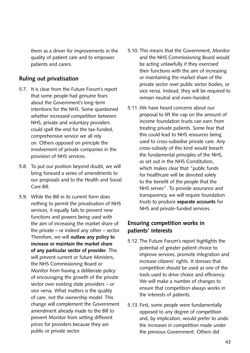them as a driver for improvements in the quality of patient care and to empower patients and carers.

#### **Ruling out privatisation**

- 5.7. It is clear from the Future Forum's report that some people had genuine fears about the Government's long-term intentions for the NHS. Some questioned whether increased competition between NHS, private and voluntary providers could spell the end for the tax-funded, comprehensive service we all rely on. Others opposed on principle the involvement of private companies in the provision of NHS services.
- 5.8. To put our position beyond doubt, we will bring forward a series of amendments to our proposals and to the Health and Social Care Bill.
- 5.9. While the Bill in its current form does nothing to permit the privatisation of NHS services, it equally fails to prevent new functions and powers being used with the aim of increasing the market share of the private – or indeed any other – sector. Therefore, we will **outlaw any policy to increase or maintain the market share of any particular sector of provider**. This will prevent current or future Ministers, the NHS Commissioning Board or Monitor from having a deliberate policy of encouraging the growth of the private sector over existing state providers – or vice versa. What matters is the quality of care, not the ownership model. This change will complement the Government amendment already made to the Bill to prevent Monitor from setting different prices for providers because they are public or private sector.
- 5.10. This means that the Government, Monitor and the NHS Commissioning Board would be acting unlawfully if they exercised their functions with the aim of increasing or maintaining the market share of the private sector over public sector bodies, or vice versa. Instead, they will be required to remain neutral and even-handed.
- 5.11. We have heard concerns about our proposal to lift the cap on the amount of income foundation trusts can earn from treating private patients. Some fear that this could lead to NHS resources being used to cross-subsidise private care. Any cross-subsidy of this kind would breach the fundamental principles of the NHS, as set out in the NHS Constitution, which makes clear that "public funds for healthcare will be devoted solely to the benefit of the people that the NHS serves". To provide assurance and transparency, we will require foundation trusts to produce **separate accounts** for NHS and private-funded services.

## **Ensuring competition works in patients' interests**

- 5.12. The Future Forum's report highlights the potential of greater patient choice to improve services, promote integration and increase citizens' rights. It stresses that competition should be used as one of the tools used to drive choice and efficiency. We will make a number of changes to ensure that competition always works in the interests of patients.
- 5.13. First, some people were fundamentally opposed to any degree of competition and, by implication, would prefer to undo the increases in competition made under the previous Government. Others did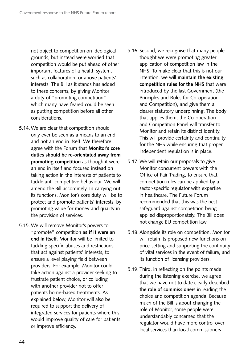not object to competition on ideological grounds, but instead were worried that competition would be put ahead of other important features of a health system, such as collaboration, or above patients' interests. The Bill as it stands has added to these concerns, by giving Monitor a duty of "promoting competition" which many have feared could be seen as putting competition before all other considerations.

- 5.14. We are clear that competition should only ever be seen as a means to an end and not an end in itself. We therefore agree with the Forum that **Monitor's core duties should be re-orientated away from promoting competition** as though it were an end in itself and focused instead on taking action in the interests of patients to tackle anti-competitive behaviour. We will amend the Bill accordingly. In carrying out its functions, Monitor's core duty will be to protect and promote patients' interests, by promoting value for money and quality in the provision of services.
- 5.15. We will remove Monitor's powers to "promote" competition **as if it were an end in itself**. Monitor will be limited to tackling specific abuses and restrictions that act against patients' interests, to ensure a level playing field between providers. For example, Monitor could take action against a provider seeking to frustrate patient choice, or colluding with another provider not to offer patients home-based treatments. As explained below, Monitor will also be required to support the delivery of integrated services for patients where this would improve quality of care for patients or improve efficiency.
- 5.16. Second, we recognise that many people thought we were promoting greater application of competition law in the NHS. To make clear that this is not our intention, we will **maintain the existing competition rules for the NHS** that were introduced by the last Government (the Principles and Rules for Co-operation and Competition), and give them a clearer statutory underpinning. The body that applies them, the Co-operation and Competition Panel will transfer to Monitor and retain its distinct identity. This will provide certainty and continuity for the NHS while ensuring that proper, independent regulation is in place.
- 5.17. We will retain our proposals to give Monitor concurrent powers with the Office of Fair Trading, to ensure that competition rules can be applied by a sector-specific regulator with expertise in healthcare. The Future Forum recommended that this was the best safeguard against competition being applied disproportionately. The Bill does not change EU competition law.
- 5.18. Alongside its role on competition, Monitor will retain its proposed new functions on price-setting and supporting the continuity of vital services in the event of failure, and its function of licensing providers.
- 5.19. Third, in reflecting on the points made during the listening exercise, we agree that we have not to date clearly described **the role of commissioners** in leading the choice and competition agenda. Because much of the Bill is about changing the role of Monitor, some people were understandably concerned that the regulator would have more control over local services than local commissioners.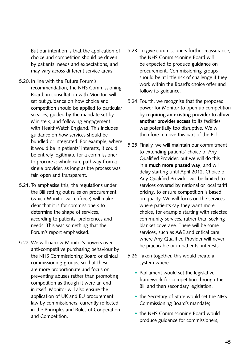But our intention is that the application of choice and competition should be driven by patients' needs and expectations, and may vary across different service areas.

- 5.20. In line with the Future Forum's recommendation, the NHS Commissioning Board, in consultation with Monitor, will set out guidance on how choice and competition should be applied to particular services, guided by the mandate set by Ministers, and following engagement with HealthWatch England. This includes guidance on how services should be bundled or integrated. For example, where it would be in patients' interests, it could be entirely legitimate for a commissioner to procure a whole care pathway from a single provider, as long as the process was fair, open and transparent.
- 5.21. To emphasise this, the regulations under the Bill setting out rules on procurement (which Monitor will enforce) will make clear that it is for commissioners to determine the shape of services, according to patients' preferences and needs. This was something that the Forum's report emphasised.
- 5.22. We will narrow Monitor's powers over anti-competitive purchasing behaviour by the NHS Commissioning Board or clinical commissioning groups, so that these are more proportionate and focus on preventing abuses rather than promoting competition as though it were an end in itself. Monitor will also ensure the application of UK and EU procurement law by commissioners, currently reflected in the Principles and Rules of Cooperation and Competition.
- 5.23. To give commissioners further reassurance, the NHS Commissioning Board will be expected to produce guidance on procurement. Commissioning groups should be at little risk of challenge if they work within the Board's choice offer and follow its guidance.
- 5.24. Fourth, we recognise that the proposed power for Monitor to open up competition by **requiring an existing provider to allow another provider access** to its facilities was potentially too disruptive. We will therefore remove this part of the Bill.
- 5.25. Finally, we will maintain our commitment to extending patients' choice of Any Qualified Provider, but we will do this in a **much more phased way**, and will delay starting until April 2012. Choice of Any Qualified Provider will be limited to services covered by national or local tariff pricing, to ensure competition is based on quality. We will focus on the services where patients say they want more choice, for example starting with selected community services, rather than seeking blanket coverage. There will be some services, such as A&E and critical care, where Any Qualified Provider will never be practicable or in patients' interests.
- 5.26. Taken together, this would create a system where:
	- Parliament would set the legislative framework for competition through the Bill and then secondary legislation;
	- the Secretary of State would set the NHS Commissioning Board's mandate;
	- the NHS Commissioning Board would produce guidance for commissioners,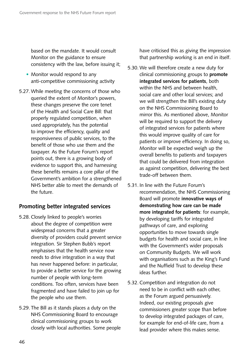based on the mandate. It would consult Monitor on the guidance to ensure consistency with the law, before issuing it;

- Monitor would respond to any anti-competitive commissioning activity
- 5.27. While meeting the concerns of those who queried the extent of Monitor's powers, these changes preserve the core tenet of the Health and Social Care Bill: that properly regulated competition, when used appropriately, has the potential to improve the efficiency, quality and responsiveness of public services, to the benefit of those who use them and the taxpayer. As the Future Forum's report points out, there is a growing body of evidence to support this, and harnessing these benefits remains a core pillar of the Government's ambition for a strengthened NHS better able to meet the demands of the future.

#### **Promoting better integrated services**

- 5.28. Closely linked to people's worries about the degree of competition were widespread concerns that a greater diversity of providers could prevent service integration. Sir Stephen Bubb's report emphasises that the health service now needs to drive integration in a way that has never happened before: in particular, to provide a better service for the growing number of people with long-term conditions. Too often, services have been fragmented and have failed to join up for the people who use them.
- 5.29. The Bill as it stands places a duty on the NHS Commissioning Board to encourage clinical commissioning groups to work closely with local authorities. Some people

have criticised this as giving the impression that partnership working is an end in itself.

- 5.30. We will therefore create a new duty for clinical commissioning groups to **promote integrated services for patients**, both within the NHS and between health, social care and other local services; and we will strengthen the Bill's existing duty on the NHS Commissioning Board to mirror this. As mentioned above, Monitor will be required to support the delivery of integrated services for patients where this would improve quality of care for patients or improve efficiency. In doing so, Monitor will be expected weigh up the overall benefits to patients and taxpayers that could be delivered from integration as against competition, delivering the best trade-off between them.
- 5.31. In line with the Future Forum's recommendation, the NHS Commissioning Board will promote **innovative ways of demonstrating how care can be made more integrated for patients**: for example, by developing tariffs for integrated pathways of care, and exploring opportunities to move towards single budgets for health and social care, in line with the Government's wider proposals on Community Budgets. We will work with organisations such as the King's Fund and the Nuffield Trust to develop these ideas further.
- 5.32. Competition and integration do not need to be in conflict with each other, as the Forum argued persuasively. Indeed, our existing proposals give commissioners greater scope than before to develop integrated packages of care, for example for end-of-life care, from a lead provider where this makes sense.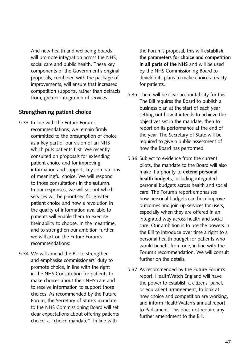And new health and wellbeing boards will promote integration across the NHS, social care and public health. These key components of the Government's original proposals, combined with the package of improvements, will ensure that increased competition supports, rather than detracts from, greater integration of services.

### **Strengthening patient choice**

- 5.33. In line with the Future Forum's recommendations, we remain firmly committed to the presumption of choice as a key part of our vision of an NHS which puts patients first. We recently consulted on proposals for extending patient choice and for improving information and support, key companions of meaningful choice. We will respond to those consultations in the autumn. In our responses, we will set out which services will be prioritised for greater patient choice and how a revolution in the quality of information available to patients will enable them to exercise their ability to choose. In the meantime, and to strengthen our ambition further, we will act on the Future Forum's recommendations:
- 5.34. We will amend the Bill to strengthen and emphasise commissioners' duty to promote choice, in line with the right in the NHS Constitution for patients to make choices about their NHS care and to receive information to support those choices. As recommended by the Future Forum, the Secretary of State's mandate to the NHS Commissioning Board will set clear expectations about offering patients choice: a "choice mandate". In line with

the Forum's proposal, this will **establish the parameters for choice and competition in all parts of the NHS** and will be used by the NHS Commissioning Board to develop its plans to make choice a reality for patients.

- 5.35. There will be clear accountability for this. The Bill requires the Board to publish a business plan at the start of each year setting out how it intends to achieve the objectives set in the mandate, then to report on its performance at the end of the year. The Secretary of State will be required to give a public assessment of how the Board has performed.
- 5.36. Subject to evidence from the current pilots, the mandate to the Board will also make it a priority to **extend personal health budgets**, including integrated personal budgets across health and social care. The Forum's report emphasises how personal budgets can help improve outcomes and join up services for users, especially when they are offered in an integrated way across health and social care. Our ambition is to use the powers in the Bill to introduce over time a right to a personal health budget for patients who would benefit from one, in line with the Forum's recommendation. We will consult further on the details.
- 5.37. As recommended by the Future Forum's report, HealthWatch England will have the power to establish a citizens' panel, or equivalent arrangement, to look at how choice and competition are working, and inform HealthWatch's annual report to Parliament. This does not require any further amendment to the Bill.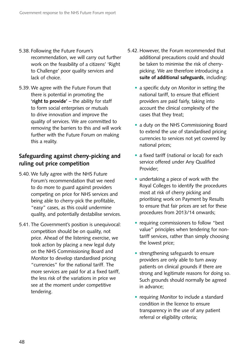- 5.38. Following the Future Forum's recommendation, we will carry out further work on the feasibility of a citizens' 'Right to Challenge' poor quality services and lack of choice.
- 5.39. We agree with the Future Forum that there is potential in promoting the **'right to provide'** – the ability for staff to form social enterprises or mutuals to drive innovation and improve the quality of services. We are committed to removing the barriers to this and will work further with the Future Forum on making this a reality.

## **Safeguarding against cherry-picking and ruling out price competition**

- 5.40. We fully agree with the NHS Future Forum's recommendation that we need to do more to guard against providers competing on price for NHS services and being able to cherry-pick the profitable, "easy" cases, as this could undermine quality, and potentially destabilise services.
- 5.41. The Government's position is unequivocal: competition should be on quality, not price. Ahead of the listening exercise, we took action by placing a new legal duty on the NHS Commissioning Board and Monitor to develop standardised pricing "currencies" for the national tariff. The more services are paid for at a fixed tariff, the less risk of the variations in price we see at the moment under competitive tendering.
- 5.42. However, the Forum recommended that additional precautions could and should be taken to minimise the risk of cherrypicking. We are therefore introducing a **suite of additional safeguards**, including:
	- a specific duty on Monitor in setting the national tariff, to ensure that efficient providers are paid fairly, taking into account the clinical complexity of the cases that they treat;
	- a duty on the NHS Commissioning Board to extend the use of standardised pricing currencies to services not yet covered by national prices;
	- a fixed tariff (national or local) for each service offered under Any Qualified Provider;
	- undertaking a piece of work with the Royal Colleges to identify the procedures most at risk of cherry picking and prioritising work on Payment by Results to ensure that fair prices are set for these procedures from 2013/14 onwards;
	- requiring commissioners to follow "best value" principles when tendering for nontariff services, rather than simply choosing the lowest price;
	- strengthening safeguards to ensure providers are only able to turn away patients on clinical grounds if there are strong and legitimate reasons for doing so. Such grounds should normally be agreed in advance;
	- requiring Monitor to include a standard condition in the licence to ensure transparency in the use of any patient referral or eligibility criteria;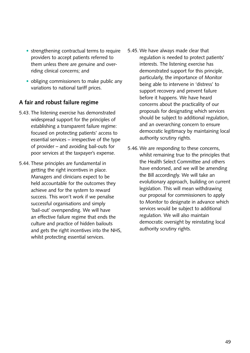- strengthening contractual terms to require providers to accept patients referred to them unless there are genuine and overriding clinical concerns; and
- obliging commissioners to make public any variations to national tariff prices.

## **A fair and robust failure regime**

- 5.43. The listening exercise has demonstrated widespread support for the principles of establishing a transparent failure regime: focused on protecting patients' access to essential services – irrespective of the type of provider – and avoiding bail-outs for poor services at the taxpayer's expense.
- 5.44. These principles are fundamental in getting the right incentives in place. Managers and clinicians expect to be held accountable for the outcomes they achieve and for the system to reward success. This won't work if we penalise successful organisations and simply 'bail-out' overspending. We will have an effective failure regime that ends the culture and practice of hidden bailouts and gets the right incentives into the NHS, whilst protecting essential services.
- 5.45. We have always made clear that regulation is needed to protect patients' interests. The listening exercise has demonstrated support for this principle, particularly, the importance of Monitor being able to intervene in 'distress' to support recovery and prevent failure before it happens. We have heard concerns about the practicality of our proposals for designating which services should be subject to additional regulation, and an overarching concern to ensure democratic legitimacy by maintaining local authority scrutiny rights.
- 5.46. We are responding to these concerns, whilst remaining true to the principles that the Health Select Committee and others have endorsed, and we will be amending the Bill accordingly. We will take an evolutionary approach, building on current legislation. This will mean withdrawing our proposal for commissioners to apply to Monitor to designate in advance which services would be subject to additional regulation. We will also maintain democratic oversight by reinstating local authority scrutiny rights.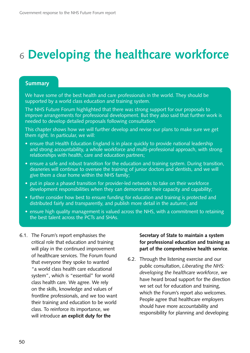# <sup>6</sup>**Developing the healthcare workforce**

#### **Summary**

We have some of the best health and care professionals in the world. They should be supported by a world class education and training system.

The NHS Future Forum highlighted that there was strong support for our proposals to improve arrangements for professional development. But they also said that further work is needed to develop detailed proposals following consultation.

This chapter shows how we will further develop and revise our plans to make sure we get them right. In particular, we will:

- ensure that Health Education England is in place quickly to provide national leadership and strong accountability, a whole workforce and multi-professional approach, with strong relationships with health, care and education partners;
- ensure a safe and robust transition for the education and training system. During transition, deaneries will continue to oversee the training of junior doctors and dentists, and we will give them a clear home within the NHS family;
- put in place a phased transition for provider-led networks to take on their workforce development responsibilities when they can demonstrate their capacity and capability;
- further consider how best to ensure funding for education and training is protected and distributed fairly and transparently, and publish more detail in the autumn; and
- ensure high quality management is valued across the NHS, with a commitment to retaining the best talent across the PCTs and SHAs.
- 6.1. The Forum's report emphasises the critical role that education and training will play in the continued improvement of healthcare services. The Forum found that everyone they spoke to wanted "a world class health care educational system", which is "essential" for world class health care. We agree. We rely on the skills, knowledge and values of frontline professionals, and we too want their training and education to be world class. To reinforce its importance, we will introduce **an explicit duty for the**

**Secretary of State to maintain a system for professional education and training as part of the comprehensive health service**.

6.2. Through the listening exercise and our public consultation, *Liberating the NHS: developing the healthcare workforce*, we have heard broad support for the direction we set out for education and training, which the Forum's report also welcomes. People agree that healthcare employers should have more accountability and responsibility for planning and developing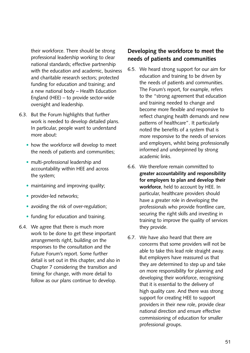their workforce. There should be strong professional leadership working to clear national standards; effective partnership with the education and academic, business and charitable research sectors; protected funding for education and training; and a new national body – Health Education England (HEE) – to provide sector-wide oversight and leadership.

- 6.3. But the Forum highlights that further work is needed to develop detailed plans. In particular, people want to understand more about:
	- how the workforce will develop to meet the needs of patients and communities;
	- multi-professional leadership and accountability within HEE and across the system;
	- maintaining and improving quality;
	- provider-led networks;
	- avoiding the risk of over-regulation;
	- funding for education and training.
- 6.4. We agree that there is much more work to be done to get these important arrangements right, building on the responses to the consultation and the Future Forum's report. Some further detail is set out in this chapter, and also in Chapter 7 considering the transition and timing for change, with more detail to follow as our plans continue to develop.

## **Developing the workforce to meet the needs of patients and communities**

- 6.5. We heard strong support for our aim for education and training to be driven by the needs of patients and communities. The Forum's report, for example, refers to the "strong agreement that education and training needed to change and become more flexible and responsive to reflect changing health demands and new patterns of healthcare". It particularly noted the benefits of a system that is more responsive to the needs of services and employers, whilst being professionally informed and underpinned by strong academic links.
- 6.6. We therefore remain committed to **greater accountability and responsibility for employers to plan and develop their workforce**, held to account by HEE. In particular, healthcare providers should have a greater role in developing the professionals who provide frontline care, securing the right skills and investing in training to improve the quality of services they provide.
- 6.7. We have also heard that there are concerns that some providers will not be able to take this lead role straight away. But employers have reassured us that they are determined to step up and take on more responsibility for planning and developing their workforce, recognising that it is essential to the delivery of high quality care. And there was strong support for creating HEE to support providers in their new role, provide clear national direction and ensure effective commissioning of education for smaller professional groups.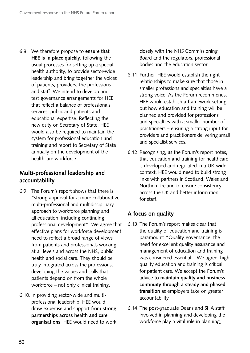6.8. We therefore propose to **ensure that HEE is in place quickly**, following the usual processes for setting up a special health authority, to provide sector-wide leadership and bring together the voices of patients, providers, the professions and staff. We intend to develop and test governance arrangements for HEE that reflect a balance of professionals, services, public and patients and educational expertise. Reflecting the new duty on Secretary of State, HEE would also be required to maintain the system for professional education and training and report to Secretary of State annually on the development of the healthcare workforce.

## **Multi-professional leadership and accountability**

- 6.9. The Forum's report shows that there is "strong approval for a more collaborative multi-professional and multidisciplinary approach to workforce planning and all education, including continuing professional development". We agree that effective plans for workforce development need to reflect a broad range of views from patients and professionals working at all levels and across the NHS, public health and social care. They should be truly integrated across the professions, developing the values and skills that patients depend on from the whole workforce – not only clinical training.
- 6.10. In providing sector-wide and multiprofessional leadership, HEE would draw expertise and support from **strong partnerships across health and care organisations**. HEE would need to work

closely with the NHS Commissioning Board and the regulators, professional bodies and the education sector.

- 6.11. Further, HEE would establish the right relationships to make sure that those in smaller professions and specialties have a strong voice. As the Forum recommends, HEE would establish a framework setting out how education and training will be planned and provided for professions and specialties with a smaller number of practitioners – ensuring a strong input for providers and practitioners delivering small and specialist services.
- 6.12. Recognising, as the Forum's report notes, that education and training for healthcare is developed and regulated in a UK-wide context, HEE would need to build strong links with partners in Scotland, Wales and Northern Ireland to ensure consistency across the UK and better information for staff.

#### **A focus on quality**

- 6.13. The Forum's report makes clear that the quality of education and training is paramount: "Quality governance, the need for excellent quality assurance and management of education and training was considered essential". We agree: high quality education and training is critical for patient care. We accept the Forum's advice to **maintain quality and business continuity through a steady and phased transition** as employers take on greater accountability.
- 6.14. The post-graduate Deans and SHA staff involved in planning and developing the workforce play a vital role in planning,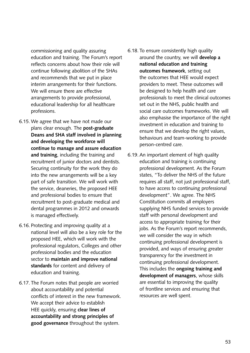commissioning and quality assuring education and training. The Forum's report reflects concerns about how their role will continue following abolition of the SHAs and recommends that we put in place interim arrangements for their functions. We will ensure there are effective arrangements to provide professional, educational leadership for all healthcare professions.

- 6.15. We agree that we have not made our plans clear enough. The **post-graduate Deans and SHA staff involved in planning and developing the workforce will continue to manage and assure education and training**, including the training and recruitment of junior doctors and dentists. Securing continuity for the work they do into the new arrangements will be a key part of safe transition. We will work with the service, deaneries, the proposed HEE and professional bodies to ensure that recruitment to post-graduate medical and dental programmes in 2012 and onwards is managed effectively.
- 6.16. Protecting and improving quality at a national level will also be a key role for the proposed HEE, which will work with the professional regulators, Colleges and other professional bodies and the education sector to **maintain and improve national standards** for content and delivery of education and training.
- 6.17. The Forum notes that people are worried about accountability and potential conflicts of interest in the new framework. We accept their advice to establish HEE quickly, ensuring **clear lines of accountability and strong principles of good governance** throughout the system.
- 6.18. To ensure consistently high quality around the country, we will **develop a national education and training outcomes framework**, setting out the outcomes that HEE would expect providers to meet. These outcomes will be designed to help health and care professionals to meet the clinical outcomes set out in the NHS, public health and social care outcomes frameworks. We will also emphasise the importance of the right investment in education and training to ensure that we develop the right values, behaviours and team-working to provide person-centred care.
- 6.19. An important element of high quality education and training is continuing professional development. As the Forum states, "To deliver the NHS of the future requires all staff, not just professional staff, to have access to continuing professional development". We agree. The NHS Constitution commits all employers supplying NHS funded services to provide staff with personal development and access to appropriate training for their jobs. As the Forum's report recommends, we will consider the way in which continuing professional development is provided, and ways of ensuring greater transparency for the investment in continuing professional development. This includes the **ongoing training and development of managers**, whose skills are essential to improving the quality of frontline services and ensuring that resources are well spent.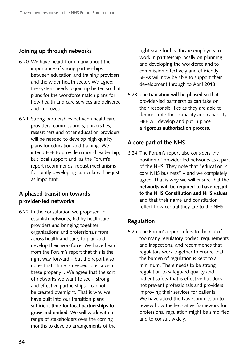## **Joining up through networks**

- 6.20. We have heard from many about the importance of strong partnerships between education and training providers and the wider health sector. We agree: the system needs to join up better, so that plans for the workforce match plans for how health and care services are delivered and improved.
- 6.21. Strong partnerships between healthcare providers, commissioners, universities, researchers and other education providers will be needed to develop high quality plans for education and training. We intend HEE to provide national leadership, but local support and, as the Forum's report recommends, robust mechanisms for jointly developing curricula will be just as important.

### **A phased transition towards provider-led networks**

6.22. In the consultation we proposed to establish networks, led by healthcare providers and bringing together organisations and professionals from across health and care, to plan and develop their workforce. We have heard from the Forum's report that this is the right way forward – but the report also notes that "time is needed to establish these properly". We agree that the sort of networks we want to see – strong and effective partnerships – cannot be created overnight. That is why we have built into our transition plans sufficient **time for local partnerships to grow and embed**. We will work with a range of stakeholders over the coming months to develop arrangements of the

right scale for healthcare employers to work in partnership locally on planning and developing the workforce and to commission effectively and efficiently. SHAs will now be able to support their development through to April 2013.

6.23. The **transition will be phased** so that provider-led partnerships can take on their responsibilities as they are able to demonstrate their capacity and capability. HEE will develop and put in place **a rigorous authorisation process**.

#### **A core part of the NHS**

6.24. The Forum's report also considers the position of provider-led networks as a part of the NHS. They note that "education is core NHS business" – and we completely agree. That is why we will ensure that the **networks will be required to have regard to the NHS Constitution and NHS values**  and that their name and constitution reflect how central they are to the NHS.

#### **Regulation**

6.25. The Forum's report refers to the risk of too many regulatory bodies, requirements and inspections, and recommends that regulators work together to ensure that the burden of regulation is kept to a minimum. There needs to be strong regulation to safeguard quality and patient safety that is effective but does not prevent professionals and providers improving their services for patients. We have asked the Law Commission to review how the legislative framework for professional regulation might be simplified, and to consult widely.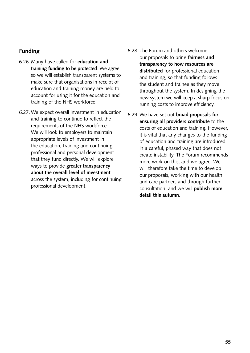### **Funding**

- 6.26. Many have called for **education and training funding to be protected**. We agree, so we will establish transparent systems to make sure that organisations in receipt of education and training money are held to account for using it for the education and training of the NHS workforce.
- 6.27. We expect overall investment in education and training to continue to reflect the requirements of the NHS workforce. We will look to employers to maintain appropriate levels of investment in the education, training and continuing professional and personal development that they fund directly. We will explore ways to provide **greater transparency about the overall level of investment**  across the system, including for continuing professional development.
- 6.28. The Forum and others welcome our proposals to bring **fairness and transparency to how resources are distributed** for professional education and training, so that funding follows the student and trainee as they move throughout the system. In designing the new system we will keep a sharp focus on running costs to improve efficiency.
- 6.29. We have set out **broad proposals for ensuring all providers contribute** to the costs of education and training. However, it is vital that any changes to the funding of education and training are introduced in a careful, phased way that does not create instability. The Forum recommends more work on this, and we agree. We will therefore take the time to develop our proposals, working with our health and care partners and through further consultation, and we will **publish more detail this autumn**.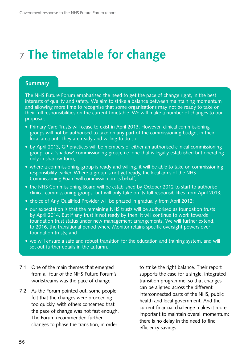# <sup>7</sup>**The timetable for change**

#### **Summary**

The NHS Future Forum emphasised the need to get the pace of change right, in the best interests of quality and safety. We aim to strike a balance between maintaining momentum and allowing more time to recognise that some organisations may not be ready to take on their full responsibilities on the current timetable. We will make a number of changes to our proposals:

- Primary Care Trusts will cease to exist in April 2013. However, clinical commissioning groups will not be authorised to take on any part of the commissioning budget in their local area until they are ready and willing to do so;
- by April 2013, GP practices will be members of either an authorised clinical commissioning group, or a 'shadow' commissioning group, i.e. one that is legally established but operating only in shadow form;
- where a commissioning group is ready and willing, it will be able to take on commissioning responsibility earlier. Where a group is not yet ready, the local arms of the NHS Commissioning Board will commission on its behalf;
- the NHS Commissioning Board will be established by October 2012 to start to authorise clinical commissioning groups, but will only take on its full responsibilities from April 2013;
- choice of Any Qualified Provider will be phased in gradually from April 2012;
- our expectation is that the remaining NHS trusts will be authorised as foundation trusts by April 2014. But if any trust is not ready by then, it will continue to work towards foundation trust status under new management arrangements. We will further extend, to 2016, the transitional period where Monitor retains specific oversight powers over foundation trusts; and
- we will ensure a safe and robust transition for the education and training system, and will set out further details in the autumn.
- 7.1. One of the main themes that emerged from all four of the NHS Future Forum's workstreams was the pace of change.
- 7.2. As the Forum pointed out, some people felt that the changes were proceeding too quickly, with others concerned that the pace of change was not fast enough. The Forum recommended further changes to phase the transition, in order

to strike the right balance. Their report supports the case for a single, integrated transition programme, so that changes can be aligned across the different interconnected parts of the NHS, public health and local government. And the current financial challenge makes it more important to maintain overall momentum: there is no delay in the need to find efficiency savings.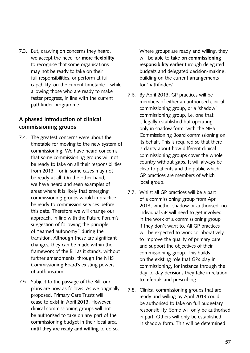7.3. But, drawing on concerns they heard, we accept the need for **more flexibility**, to recognise that some organisations may not be ready to take on their full responsibilities, or perform at full capability, on the current timetable – while allowing those who are ready to make faster progress, in line with the current pathfinder programme.

### **A phased introduction of clinical commissioning groups**

- 7.4. The greatest concerns were about the timetable for moving to the new system of commissioning. We have heard concerns that some commissioning groups will not be ready to take on all their responsibilities from 2013 – or in some cases may not be ready at all. On the other hand, we have heard and seen examples of areas where it is likely that emerging commissioning groups would in practice be ready to commission services before this date. Therefore we will change our approach, in line with the Future Forum's suggestion of following the principle of "earned autonomy" during the transition. Although these are significant changes, they can be made within the framework of the Bill as it stands, without further amendments, through the NHS Commissioning Board's existing powers of authorisation.
- 7.5. Subject to the passage of the Bill, our plans are now as follows. As we originally proposed, Primary Care Trusts will cease to exist in April 2013. However, clinical commissioning groups will not be authorised to take on any part of the commissioning budget in their local area **until they are ready and willing** to do so.

Where groups are ready and willing, they will be able to **take on commissioning responsibility earlier** through delegated budgets and delegated decision-making, building on the current arrangements for 'pathfinders'.

- 7.6. By April 2013, GP practices will be members of either an authorised clinical commissioning group, or a 'shadow' commissioning group, i.e. one that is legally established but operating only in shadow form, with the NHS Commissioning Board commissioning on its behalf. This is required so that there is clarity about how different clinical commissioning groups cover the whole country without gaps. It will always be clear to patients and the public which GP practices are members of which local group.
- 7.7. Whilst all GP practices will be a part of a commissioning group from April 2013, whether shadow or authorised, no individual GP will need to get involved in the work of a commissioning group if they don't want to. All GP practices will be expected to work collaboratively to improve the quality of primary care and support the objectives of their commissioning group. This builds on the existing role that GPs play in commissioning, for instance through the day-to-day decisions they take in relation to referrals and prescribing.
- 7.8. Clinical commissioning groups that are ready and willing by April 2013 could be authorised to take on full budgetary responsibility. Some will only be authorised in part. Others will only be established in shadow form. This will be determined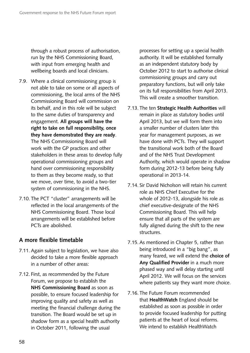through a robust process of authorisation, run by the NHS Commissioning Board, with input from emerging health and wellbeing boards and local clinicians.

- 7.9. Where a clinical commissioning group is not able to take on some or all aspects of commissioning, the local arms of the NHS Commissioning Board will commission on its behalf, and in this role will be subject to the same duties of transparency and engagement. **All groups will have the right to take on full responsibility, once they have demonstrated they are ready**. The NHS Commissioning Board will work with the GP practices and other stakeholders in these areas to develop fully operational commissioning groups and hand over commissioning responsibility to them as they become ready, so that we move, over time, to avoid a two-tier system of commissioning in the NHS.
- 7.10. The PCT "cluster" arrangements will be reflected in the local arrangements of the NHS Commissioning Board. Those local arrangements will be established before PCTs are abolished.

## **A more flexible timetable**

- 7.11. Again subject to legislation, we have also decided to take a more flexible approach in a number of other areas:
- 7.12. First, as recommended by the Future Forum, we propose to establish the **NHS Commissioning Board** as soon as possible, to ensure focused leadership for improving quality and safety as well as meeting the financial challenge during the transition. The Board would be set up in shadow form as a special health authority in October 2011, following the usual

processes for setting up a special health authority. It will be established formally as an independent statutory body by October 2012 to start to authorise clinical commissioning groups and carry out preparatory functions, but will only take on its full responsibilities from April 2013. This will create a smoother transition.

- 7.13. The ten **Strategic Health Authorities** will remain in place as statutory bodies until April 2013, but we will form them into a smaller number of clusters later this year for management purposes, as we have done with PCTs. They will support the transitional work both of the Board and of the NHS Trust Development Authority, which would operate in shadow form during 2012-13 before being fully operational in 2013-14.
- 7.14. Sir David Nicholson will retain his current role as NHS Chief Executive for the whole of 2012-13, alongside his role as chief executive-designate of the NHS Commissioning Board. This will help ensure that all parts of the system are fully aligned during the shift to the new structures.
- 7.15. As mentioned in Chapter 5, rather than being introduced in a "big bang", as many feared, we will extend the **choice of Any Qualified Provider** in a much more phased way and will delay starting until April 2012. We will focus on the services where patients say they want more choice.
- 7.16. The Future Forum recommended that **HealthWatch** England should be established as soon as possible in order to provide focused leadership for putting patients at the heart of local reforms. We intend to establish HealthWatch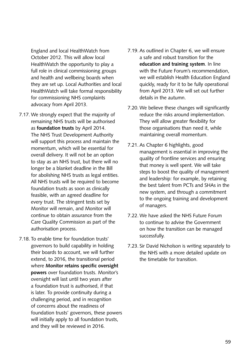England and local HealthWatch from October 2012. This will allow local HealthWatch the opportunity to play a full role in clinical commissioning groups and health and wellbeing boards when they are set up. Local Authorities and local HealthWatch will take formal responsibility for commissioning NHS complaints advocacy from April 2013.

- 7.17. We strongly expect that the majority of remaining NHS trusts will be authorised as **foundation trusts** by April 2014. The NHS Trust Development Authority will support this process and maintain the momentum, which will be essential for overall delivery. It will not be an option to stay as an NHS trust, but there will no longer be a blanket deadline in the Bill for abolishing NHS trusts as legal entities. All NHS trusts will be required to become foundation trusts as soon as clinically feasible, with an agreed deadline for every trust. The stringent tests set by Monitor will remain, and Monitor will continue to obtain assurance from the Care Quality Commission as part of the authorisation process.
- 7.18. To enable time for foundation trusts' governors to build capability in holding their boards to account, we will further extend, to 2016, the transitional period where **Monitor retains specific oversight powers** over foundation trusts. Monitor's oversight will last until two years after a foundation trust is authorised, if that is later. To provide continuity during a challenging period, and in recognition of concerns about the readiness of foundation trusts' governors, these powers will initially apply to all foundation trusts, and they will be reviewed in 2016.
- 7.19. As outlined in Chapter 6, we will ensure a safe and robust transition for the **education and training system**. In line with the Future Forum's recommendation, we will establish Health Education England quickly, ready for it to be fully operational from April 2013. We will set out further details in the autumn.
- 7.20. We believe these changes will significantly reduce the risks around implementation. They will allow greater flexibility for those organisations than need it, while maintaining overall momentum.
- 7.21. As Chapter 6 highlights, good management is essential in improving the quality of frontline services and ensuring that money is well spent. We will take steps to boost the quality of management and leadership: for example, by retaining the best talent from PCTs and SHAs in the new system, and through a commitment to the ongoing training and development of managers.
- 7.22. We have asked the NHS Future Forum to continue to advise the Government on how the transition can be managed successfully.
- 7.23. Sir David Nicholson is writing separately to the NHS with a more detailed update on the timetable for transition.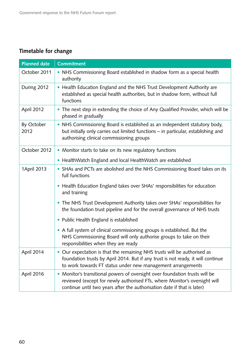## **Timetable for change**

| <b>Planned date</b> | <b>Commitment</b>                                                                                                                                                                                                                 |  |
|---------------------|-----------------------------------------------------------------------------------------------------------------------------------------------------------------------------------------------------------------------------------|--|
| October 2011        | • NHS Commissioning Board established in shadow form as a special health<br>authority                                                                                                                                             |  |
| During 2012         | • Health Education England and the NHS Trust Development Authority are<br>established as special health authorities, but in shadow form, without full<br>functions                                                                |  |
| April 2012          | • The next step in extending the choice of Any Qualified Provider, which will be<br>phased in gradually                                                                                                                           |  |
| By October<br>2012  | • NHS Commissioning Board is established as an independent statutory body,<br>but initially only carries out limited functions - in particular, establishing and<br>authorising clinical commissioning groups                     |  |
| October 2012        | • Monitor starts to take on its new regulatory functions                                                                                                                                                                          |  |
|                     | • HealthWatch England and local HealthWatch are established                                                                                                                                                                       |  |
| 1April 2013         | • SHAs and PCTs are abolished and the NHS Commissioning Board takes on its<br>full functions                                                                                                                                      |  |
|                     | • Health Education England takes over SHAs' responsibilities for education<br>and training                                                                                                                                        |  |
|                     | • The NHS Trust Development Authority takes over SHAs' responsibilities for<br>the foundation trust pipeline and for the overall governance of NHS trusts                                                                         |  |
|                     | • Public Health England is established                                                                                                                                                                                            |  |
|                     | • A full system of clinical commissioning groups is established. But the<br>NHS Commissioning Board will only authorise groups to take on their<br>responsibilities when they are ready                                           |  |
| April 2014          | Our expectation is that the remaining NHS trusts will be authorised as<br>foundation trusts by April 2014. But if any trust is not ready, it will continue<br>to work towards FT status under new management arrangements         |  |
| April 2016          | Monitor's transitional powers of oversight over foundation trusts will be<br>reviewed (except for newly authorised FTs, where Monitor's oversight will<br>continue until two years after the authorisation date if that is later) |  |